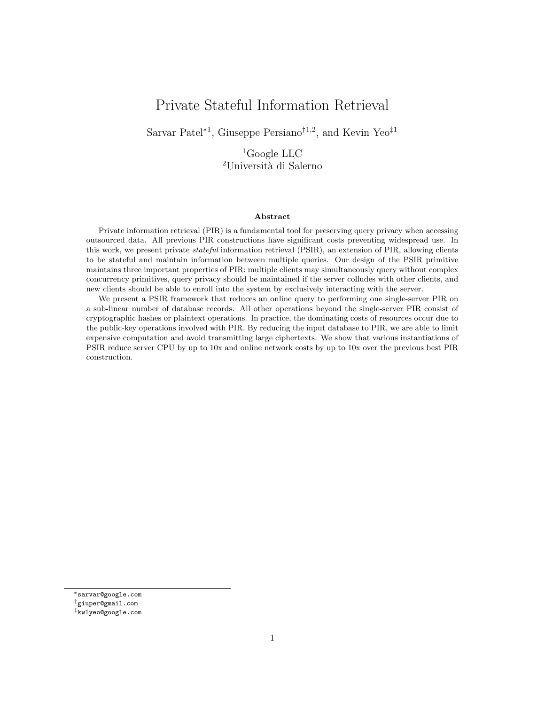# Private Stateful Information Retrieval

Sarvar Patel<sup>∗</sup><sup>1</sup> , Giuseppe Persiano†1,2, and Kevin Yeo‡<sup>1</sup>

 ${}^{1}$ Google LLC <sup>2</sup>Università di Salerno

#### Abstract

Private information retrieval (PIR) is a fundamental tool for preserving query privacy when accessing outsourced data. All previous PIR constructions have significant costs preventing widespread use. In this work, we present private stateful information retrieval (PSIR), an extension of PIR, allowing clients to be stateful and maintain information between multiple queries. Our design of the PSIR primitive maintains three important properties of PIR: multiple clients may simultaneously query without complex concurrency primitives, query privacy should be maintained if the server colludes with other clients, and new clients should be able to enroll into the system by exclusively interacting with the server.

We present a PSIR framework that reduces an online query to performing one single-server PIR on a sub-linear number of database records. All other operations beyond the single-server PIR consist of cryptographic hashes or plaintext operations. In practice, the dominating costs of resources occur due to the public-key operations involved with PIR. By reducing the input database to PIR, we are able to limit expensive computation and avoid transmitting large ciphertexts. We show that various instantiations of PSIR reduce server CPU by up to 10x and online network costs by up to 10x over the previous best PIR construction.

<sup>∗</sup>sarvar@google.com

<sup>†</sup>giuper@gmail.com

<sup>‡</sup>kwlyeo@google.com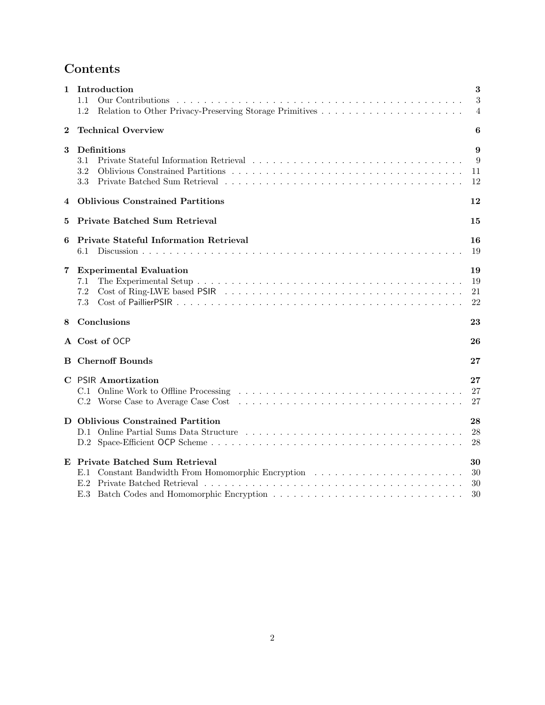# Contents

| 1        | Introduction<br>1.1<br>Our Contributions<br>1.2      | $\bf{3}$<br>3<br>$\overline{4}$ |
|----------|------------------------------------------------------|---------------------------------|
| $\bf{2}$ | <b>Technical Overview</b>                            | 6                               |
| 3        | Definitions<br>3.1<br>3.2<br>3.3                     | 9<br>9<br>11<br>12              |
| 4        | <b>Oblivious Constrained Partitions</b>              | 12                              |
| 5        | <b>Private Batched Sum Retrieval</b>                 | 15                              |
| 6        | <b>Private Stateful Information Retrieval</b><br>6.1 | 16<br>19                        |
| 7        | <b>Experimental Evaluation</b><br>7.1<br>7.2<br>7.3  | 19<br>19<br>21<br>22            |
| 8        | Conclusions                                          | 23                              |
|          | A Cost of OCP                                        | 26                              |
|          | <b>B</b> Chernoff Bounds                             | 27                              |
|          | C PSIR Amortization                                  | $\bf{27}$<br>27<br>27           |
|          | D Oblivious Constrained Partition                    | 28<br>28<br>28                  |
| E        | <b>Private Batched Sum Retrieval</b><br>E.1<br>E.2   | 30<br>30<br>30<br>30            |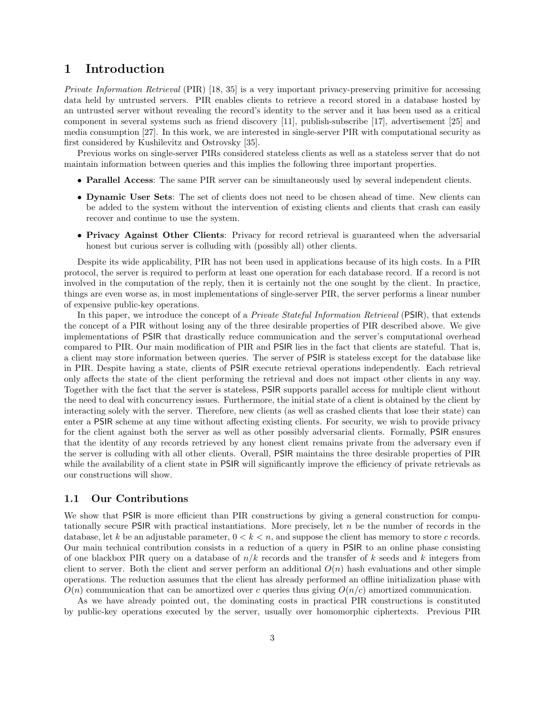## 1 Introduction

Private Information Retrieval (PIR) [18, 35] is a very important privacy-preserving primitive for accessing data held by untrusted servers. PIR enables clients to retrieve a record stored in a database hosted by an untrusted server without revealing the record's identity to the server and it has been used as a critical component in several systems such as friend discovery [11], publish-subscribe [17], advertisement [25] and media consumption [27]. In this work, we are interested in single-server PIR with computational security as first considered by Kushilevitz and Ostrovsky [35].

Previous works on single-server PIRs considered stateless clients as well as a stateless server that do not maintain information between queries and this implies the following three important properties.

- Parallel Access: The same PIR server can be simultaneously used by several independent clients.
- Dynamic User Sets: The set of clients does not need to be chosen ahead of time. New clients can be added to the system without the intervention of existing clients and clients that crash can easily recover and continue to use the system.
- Privacy Against Other Clients: Privacy for record retrieval is guaranteed when the adversarial honest but curious server is colluding with (possibly all) other clients.

Despite its wide applicability, PIR has not been used in applications because of its high costs. In a PIR protocol, the server is required to perform at least one operation for each database record. If a record is not involved in the computation of the reply, then it is certainly not the one sought by the client. In practice, things are even worse as, in most implementations of single-server PIR, the server performs a linear number of expensive public-key operations.

In this paper, we introduce the concept of a *Private Stateful Information Retrieval* (PSIR), that extends the concept of a PIR without losing any of the three desirable properties of PIR described above. We give implementations of PSIR that drastically reduce communication and the server's computational overhead compared to PIR. Our main modification of PIR and PSIR lies in the fact that clients are stateful. That is, a client may store information between queries. The server of PSIR is stateless except for the database like in PIR. Despite having a state, clients of PSIR execute retrieval operations independently. Each retrieval only affects the state of the client performing the retrieval and does not impact other clients in any way. Together with the fact that the server is stateless, PSIR supports parallel access for multiple client without the need to deal with concurrency issues. Furthermore, the initial state of a client is obtained by the client by interacting solely with the server. Therefore, new clients (as well as crashed clients that lose their state) can enter a PSIR scheme at any time without affecting existing clients. For security, we wish to provide privacy for the client against both the server as well as other possibly adversarial clients. Formally, PSIR ensures that the identity of any records retrieved by any honest client remains private from the adversary even if the server is colluding with all other clients. Overall, PSIR maintains the three desirable properties of PIR while the availability of a client state in PSIR will significantly improve the efficiency of private retrievals as our constructions will show.

#### 1.1 Our Contributions

We show that PSIR is more efficient than PIR constructions by giving a general construction for computationally secure PSIR with practical instantiations. More precisely, let  $n$  be the number of records in the database, let k be an adjustable parameter,  $0 < k < n$ , and suppose the client has memory to store c records. Our main technical contribution consists in a reduction of a query in PSIR to an online phase consisting of one blackbox PIR query on a database of  $n/k$  records and the transfer of k seeds and k integers from client to server. Both the client and server perform an additional  $O(n)$  hash evaluations and other simple operations. The reduction assumes that the client has already performed an offline initialization phase with  $O(n)$  communication that can be amortized over c queries thus giving  $O(n/c)$  amortized communication.

As we have already pointed out, the dominating costs in practical PIR constructions is constituted by public-key operations executed by the server, usually over homomorphic ciphertexts. Previous PIR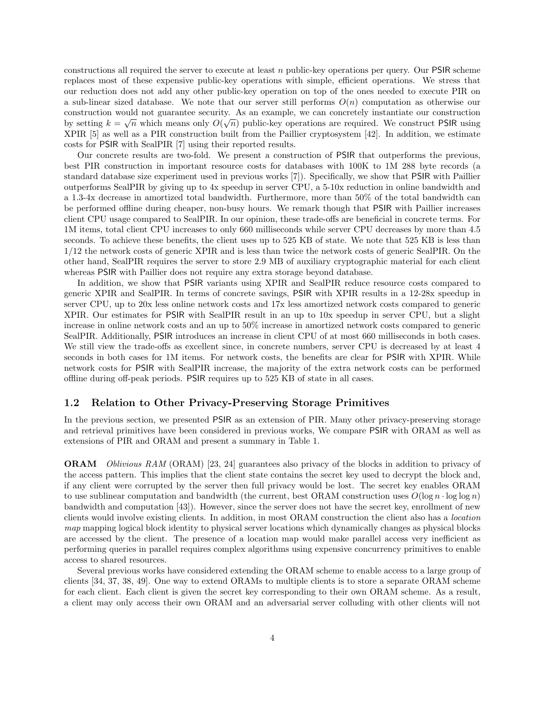constructions all required the server to execute at least n public-key operations per query. Our PSIR scheme replaces most of these expensive public-key operations with simple, efficient operations. We stress that our reduction does not add any other public-key operation on top of the ones needed to execute PIR on a sub-linear sized database. We note that our server still performs  $O(n)$  computation as otherwise our construction would not guarantee security. As an example, we can concretely instantiate our construction by setting  $k = \sqrt{n}$  which means only  $O(\sqrt{n})$  public-key operations are required. We construct PSIR using XPIR [5] as well as a PIR construction built from the Paillier cryptosystem [42]. In addition, we estimate costs for PSIR with SealPIR [7] using their reported results.

Our concrete results are two-fold. We present a construction of PSIR that outperforms the previous, best PIR construction in important resource costs for databases with 100K to 1M 288 byte records (a standard database size experiment used in previous works [7]). Specifically, we show that PSIR with Paillier outperforms SealPIR by giving up to 4x speedup in server CPU, a 5-10x reduction in online bandwidth and a 1.3-4x decrease in amortized total bandwidth. Furthermore, more than 50% of the total bandwidth can be performed offline during cheaper, non-busy hours. We remark though that PSIR with Paillier increases client CPU usage compared to SealPIR. In our opinion, these trade-offs are beneficial in concrete terms. For 1M items, total client CPU increases to only 660 milliseconds while server CPU decreases by more than 4.5 seconds. To achieve these benefits, the client uses up to 525 KB of state. We note that 525 KB is less than 1/12 the network costs of generic XPIR and is less than twice the network costs of generic SealPIR. On the other hand, SealPIR requires the server to store 2.9 MB of auxiliary cryptographic material for each client whereas PSIR with Paillier does not require any extra storage beyond database.

In addition, we show that PSIR variants using XPIR and SealPIR reduce resource costs compared to generic XPIR and SealPIR. In terms of concrete savings, PSIR with XPIR results in a 12-28x speedup in server CPU, up to 20x less online network costs and 17x less amortized network costs compared to generic XPIR. Our estimates for PSIR with SealPIR result in an up to 10x speedup in server CPU, but a slight increase in online network costs and an up to 50% increase in amortized network costs compared to generic SealPIR. Additionally, PSIR introduces an increase in client CPU of at most 660 milliseconds in both cases. We still view the trade-offs as excellent since, in concrete numbers, server CPU is decreased by at least 4 seconds in both cases for 1M items. For network costs, the benefits are clear for PSIR with XPIR. While network costs for PSIR with SealPIR increase, the majority of the extra network costs can be performed offline during off-peak periods. PSIR requires up to 525 KB of state in all cases.

#### 1.2 Relation to Other Privacy-Preserving Storage Primitives

In the previous section, we presented PSIR as an extension of PIR. Many other privacy-preserving storage and retrieval primitives have been considered in previous works, We compare PSIR with ORAM as well as extensions of PIR and ORAM and present a summary in Table 1.

ORAM Oblivious RAM (ORAM) [23, 24] guarantees also privacy of the blocks in addition to privacy of the access pattern. This implies that the client state contains the secret key used to decrypt the block and, if any client were corrupted by the server then full privacy would be lost. The secret key enables ORAM to use sublinear computation and bandwidth (the current, best ORAM construction uses  $O(\log n \cdot \log \log n)$ ) bandwidth and computation [43]). However, since the server does not have the secret key, enrollment of new clients would involve existing clients. In addition, in most ORAM construction the client also has a location map mapping logical block identity to physical server locations which dynamically changes as physical blocks are accessed by the client. The presence of a location map would make parallel access very inefficient as performing queries in parallel requires complex algorithms using expensive concurrency primitives to enable access to shared resources.

Several previous works have considered extending the ORAM scheme to enable access to a large group of clients [34, 37, 38, 49]. One way to extend ORAMs to multiple clients is to store a separate ORAM scheme for each client. Each client is given the secret key corresponding to their own ORAM scheme. As a result, a client may only access their own ORAM and an adversarial server colluding with other clients will not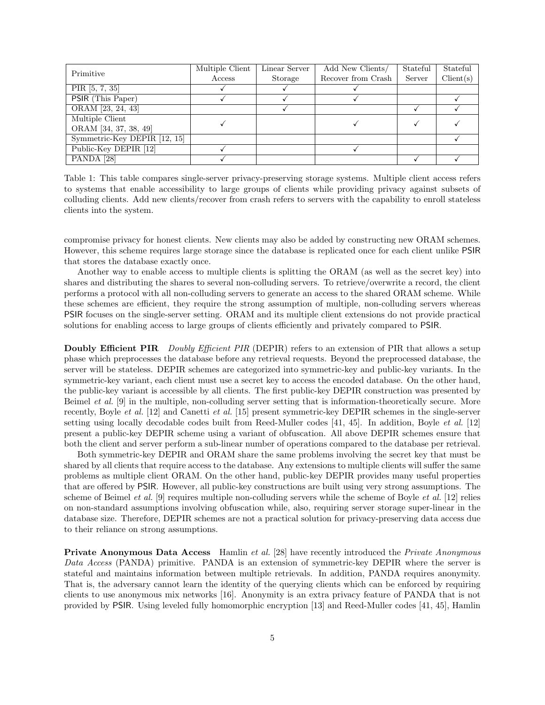| Primitive                    | Multiple Client | Linear Server | Add New Clients/   | Stateful | Stateful  |
|------------------------------|-----------------|---------------|--------------------|----------|-----------|
|                              | Access          | Storage       | Recover from Crash | Server   | Client(s) |
| PIR $[5, 7, 35]$             |                 |               |                    |          |           |
| $PSIR$ (This Paper)          |                 |               |                    |          |           |
| ORAM [23, 24, 43]            |                 |               |                    |          |           |
| Multiple Client              |                 |               |                    |          |           |
| ORAM [34, 37, 38, 49]        |                 |               |                    |          |           |
| Symmetric-Key DEPIR [12, 15] |                 |               |                    |          |           |
| Public-Key DEPIR [12]        |                 |               |                    |          |           |
| PANDA <sup>[28]</sup>        |                 |               |                    |          |           |

Table 1: This table compares single-server privacy-preserving storage systems. Multiple client access refers to systems that enable accessibility to large groups of clients while providing privacy against subsets of colluding clients. Add new clients/recover from crash refers to servers with the capability to enroll stateless clients into the system.

compromise privacy for honest clients. New clients may also be added by constructing new ORAM schemes. However, this scheme requires large storage since the database is replicated once for each client unlike PSIR that stores the database exactly once.

Another way to enable access to multiple clients is splitting the ORAM (as well as the secret key) into shares and distributing the shares to several non-colluding servers. To retrieve/overwrite a record, the client performs a protocol with all non-colluding servers to generate an access to the shared ORAM scheme. While these schemes are efficient, they require the strong assumption of multiple, non-colluding servers whereas PSIR focuses on the single-server setting. ORAM and its multiple client extensions do not provide practical solutions for enabling access to large groups of clients efficiently and privately compared to PSIR.

Doubly Efficient PIR Doubly Efficient PIR (DEPIR) refers to an extension of PIR that allows a setup phase which preprocesses the database before any retrieval requests. Beyond the preprocessed database, the server will be stateless. DEPIR schemes are categorized into symmetric-key and public-key variants. In the symmetric-key variant, each client must use a secret key to access the encoded database. On the other hand, the public-key variant is accessible by all clients. The first public-key DEPIR construction was presented by Beimel et al. [9] in the multiple, non-colluding server setting that is information-theoretically secure. More recently, Boyle et al. [12] and Canetti et al. [15] present symmetric-key DEPIR schemes in the single-server setting using locally decodable codes built from Reed-Muller codes [41, 45]. In addition, Boyle *et al.* [12] present a public-key DEPIR scheme using a variant of obfuscation. All above DEPIR schemes ensure that both the client and server perform a sub-linear number of operations compared to the database per retrieval.

Both symmetric-key DEPIR and ORAM share the same problems involving the secret key that must be shared by all clients that require access to the database. Any extensions to multiple clients will suffer the same problems as multiple client ORAM. On the other hand, public-key DEPIR provides many useful properties that are offered by PSIR. However, all public-key constructions are built using very strong assumptions. The scheme of Beimel *et al.* [9] requires multiple non-colluding servers while the scheme of Boyle *et al.* [12] relies on non-standard assumptions involving obfuscation while, also, requiring server storage super-linear in the database size. Therefore, DEPIR schemes are not a practical solution for privacy-preserving data access due to their reliance on strong assumptions.

**Private Anonymous Data Access** Hamlin *et al.* [28] have recently introduced the *Private Anonymous* Data Access (PANDA) primitive. PANDA is an extension of symmetric-key DEPIR where the server is stateful and maintains information between multiple retrievals. In addition, PANDA requires anonymity. That is, the adversary cannot learn the identity of the querying clients which can be enforced by requiring clients to use anonymous mix networks [16]. Anonymity is an extra privacy feature of PANDA that is not provided by PSIR. Using leveled fully homomorphic encryption [13] and Reed-Muller codes [41, 45], Hamlin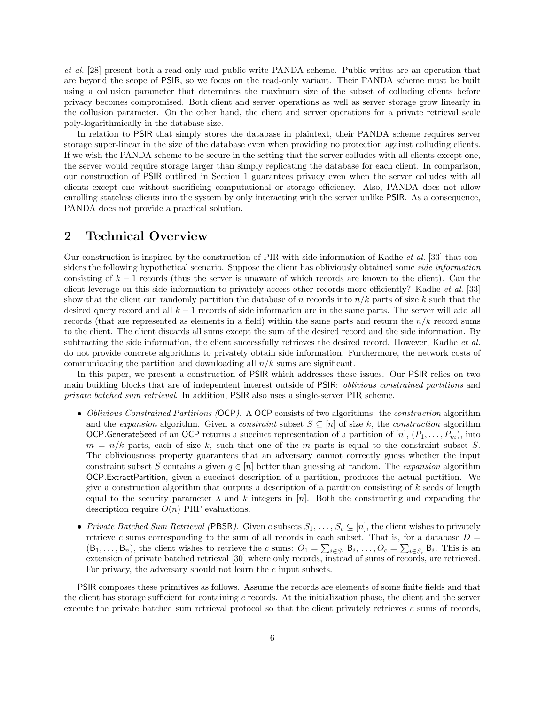et al. [28] present both a read-only and public-write PANDA scheme. Public-writes are an operation that are beyond the scope of PSIR, so we focus on the read-only variant. Their PANDA scheme must be built using a collusion parameter that determines the maximum size of the subset of colluding clients before privacy becomes compromised. Both client and server operations as well as server storage grow linearly in the collusion parameter. On the other hand, the client and server operations for a private retrieval scale poly-logarithmically in the database size.

In relation to PSIR that simply stores the database in plaintext, their PANDA scheme requires server storage super-linear in the size of the database even when providing no protection against colluding clients. If we wish the PANDA scheme to be secure in the setting that the server colludes with all clients except one, the server would require storage larger than simply replicating the database for each client. In comparison, our construction of PSIR outlined in Section 1 guarantees privacy even when the server colludes with all clients except one without sacrificing computational or storage efficiency. Also, PANDA does not allow enrolling stateless clients into the system by only interacting with the server unlike PSIR. As a consequence, PANDA does not provide a practical solution.

## 2 Technical Overview

Our construction is inspired by the construction of PIR with side information of Kadhe et al. [33] that considers the following hypothetical scenario. Suppose the client has obliviously obtained some *side information* consisting of  $k-1$  records (thus the server is unaware of which records are known to the client). Can the client leverage on this side information to privately access other records more efficiently? Kadhe et al. [33] show that the client can randomly partition the database of n records into  $n/k$  parts of size k such that the desired query record and all  $k - 1$  records of side information are in the same parts. The server will add all records (that are represented as elements in a field) within the same parts and return the  $n/k$  record sums to the client. The client discards all sums except the sum of the desired record and the side information. By subtracting the side information, the client successfully retrieves the desired record. However, Kadhe *et al.* do not provide concrete algorithms to privately obtain side information. Furthermore, the network costs of communicating the partition and downloading all  $n/k$  sums are significant.

In this paper, we present a construction of PSIR which addresses these issues. Our PSIR relies on two main building blocks that are of independent interest outside of PSIR: oblivious constrained partitions and private batched sum retrieval. In addition, PSIR also uses a single-server PIR scheme.

- Oblivious Constrained Partitions (OCP). A OCP consists of two algorithms: the construction algorithm and the expansion algorithm. Given a constraint subset  $S \subseteq [n]$  of size k, the construction algorithm OCP.GenerateSeed of an OCP returns a succinct representation of a partition of  $[n], (P_1, \ldots, P_m)$ , into  $m = n/k$  parts, each of size k, such that one of the m parts is equal to the constraint subset S. The obliviousness property guarantees that an adversary cannot correctly guess whether the input constraint subset S contains a given  $q \in [n]$  better than guessing at random. The *expansion* algorithm OCP.ExtractPartition, given a succinct description of a partition, produces the actual partition. We give a construction algorithm that outputs a description of a partition consisting of  $k$  seeds of length equal to the security parameter  $\lambda$  and k integers in [n]. Both the constructing and expanding the description require  $O(n)$  PRF evaluations.
- Private Batched Sum Retrieval (PBSR). Given c subsets  $S_1, \ldots, S_c \subseteq [n]$ , the client wishes to privately retrieve c sums corresponding to the sum of all records in each subset. That is, for a database  $D =$  $(B_1,\ldots,B_n)$ , the client wishes to retrieve the c sums:  $O_1 = \sum_{i \in S_1} B_i, \ldots, O_c = \sum_{i \in S_c} B_i$ . This is an extension of private batched retrieval [30] where only records, instead of sums of records, are retrieved. For privacy, the adversary should not learn the c input subsets.

PSIR composes these primitives as follows. Assume the records are elements of some finite fields and that the client has storage sufficient for containing  $c$  records. At the initialization phase, the client and the server execute the private batched sum retrieval protocol so that the client privately retrieves  $c$  sums of records,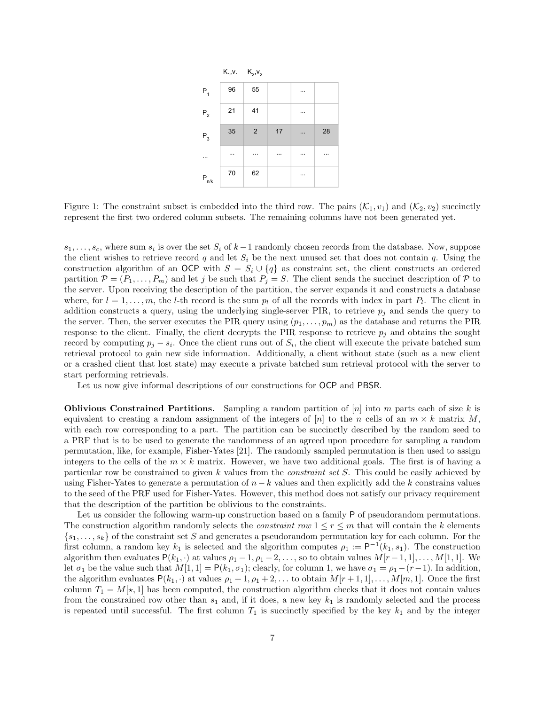|           | $K_1, V_1$ $K_2, V_2$ |                |    |          |    |
|-----------|-----------------------|----------------|----|----------|----|
| $P_1$     | 96                    | 55             |    |          |    |
| $P_{2}$   | 21                    | 41             |    |          |    |
| $P_3$     | 35                    | $\overline{2}$ | 17 | $\cdots$ | 28 |
| .         |                       |                |    |          |    |
| $P_{n/k}$ | $70\,$                | 62             |    |          |    |

Figure 1: The constraint subset is embedded into the third row. The pairs  $(\mathcal{K}_1, v_1)$  and  $(\mathcal{K}_2, v_2)$  succinctly represent the first two ordered column subsets. The remaining columns have not been generated yet.

 $s_1, \ldots, s_c$ , where sum  $s_i$  is over the set  $S_i$  of  $k-1$  randomly chosen records from the database. Now, suppose the client wishes to retrieve record q and let  $S_i$  be the next unused set that does not contain q. Using the construction algorithm of an OCP with  $S = S_i \cup \{q\}$  as constraint set, the client constructs an ordered partition  $\mathcal{P} = (P_1, \ldots, P_m)$  and let j be such that  $P_j = S$ . The client sends the succinct description of  $\mathcal P$  to the server. Upon receiving the description of the partition, the server expands it and constructs a database where, for  $l = 1, \ldots, m$ , the *l*-th record is the sum  $p_l$  of all the records with index in part  $P_l$ . The client in addition constructs a query, using the underlying single-server PIR, to retrieve  $p_j$  and sends the query to the server. Then, the server executes the PIR query using  $(p_1, \ldots, p_m)$  as the database and returns the PIR response to the client. Finally, the client decrypts the PIR response to retrieve  $p_j$  and obtains the sought record by computing  $p_j - s_i$ . Once the client runs out of  $S_i$ , the client will execute the private batched sum retrieval protocol to gain new side information. Additionally, a client without state (such as a new client or a crashed client that lost state) may execute a private batched sum retrieval protocol with the server to start performing retrievals.

Let us now give informal descriptions of our constructions for OCP and PBSR.

**Oblivious Constrained Partitions.** Sampling a random partition of  $[n]$  into m parts each of size k is equivalent to creating a random assignment of the integers of [n] to the n cells of an  $m \times k$  matrix M, with each row corresponding to a part. The partition can be succinctly described by the random seed to a PRF that is to be used to generate the randomness of an agreed upon procedure for sampling a random permutation, like, for example, Fisher-Yates [21]. The randomly sampled permutation is then used to assign integers to the cells of the  $m \times k$  matrix. However, we have two additional goals. The first is of having a particular row be constrained to given k values from the constraint set S. This could be easily achieved by using Fisher-Yates to generate a permutation of  $n - k$  values and then explicitly add the k constrains values to the seed of the PRF used for Fisher-Yates. However, this method does not satisfy our privacy requirement that the description of the partition be oblivious to the constraints.

Let us consider the following warm-up construction based on a family  $P$  of pseudorandom permutations. The construction algorithm randomly selects the *constraint row*  $1 \leq r \leq m$  that will contain the k elements  $\{s_1, \ldots, s_k\}$  of the constraint set S and generates a pseudorandom permutation key for each column. For the first column, a random key  $k_1$  is selected and the algorithm computes  $\rho_1 := \mathsf{P}^{-1}(k_1, s_1)$ . The construction algorithm then evaluates  $P(k_1, \cdot)$  at values  $\rho_1 - 1, \rho_1 - 2, \ldots$ , so to obtain values  $M[r-1, 1], \ldots, M[1, 1]$ . We let  $\sigma_1$  be the value such that  $M[1, 1] = P(k_1, \sigma_1)$ ; clearly, for column 1, we have  $\sigma_1 = \rho_1 - (r-1)$ . In addition, the algorithm evaluates  $P(k_1, \cdot)$  at values  $\rho_1 + 1, \rho_1 + 2, \ldots$  to obtain  $M[r+1, 1], \ldots, M[m, 1]$ . Once the first column  $T_1 = M[\star, 1]$  has been computed, the construction algorithm checks that it does not contain values from the constrained row other than  $s_1$  and, if it does, a new key  $k_1$  is randomly selected and the process is repeated until successful. The first column  $T_1$  is succinctly specified by the key  $k_1$  and by the integer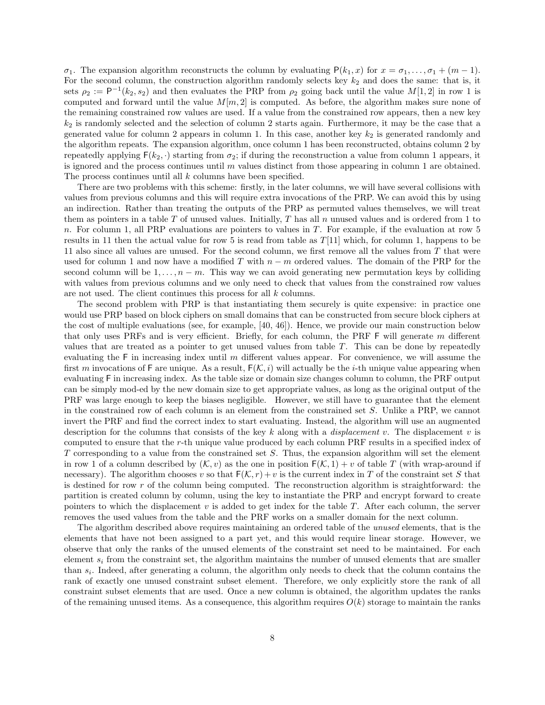$\sigma_1$ . The expansion algorithm reconstructs the column by evaluating  $P(k_1, x)$  for  $x = \sigma_1, \ldots, \sigma_1 + (m-1)$ . For the second column, the construction algorithm randomly selects key  $k_2$  and does the same: that is, it sets  $\rho_2 := \mathsf{P}^{-1}(k_2, s_2)$  and then evaluates the PRP from  $\rho_2$  going back until the value  $M[1,2]$  in row 1 is computed and forward until the value  $M[m, 2]$  is computed. As before, the algorithm makes sure none of the remaining constrained row values are used. If a value from the constrained row appears, then a new key  $k_2$  is randomly selected and the selection of column 2 starts again. Furthermore, it may be the case that a generated value for column 2 appears in column 1. In this case, another key  $k_2$  is generated randomly and the algorithm repeats. The expansion algorithm, once column 1 has been reconstructed, obtains column 2 by repeatedly applying  $F(k_2, \cdot)$  starting from  $\sigma_2$ ; if during the reconstruction a value from column 1 appears, it is ignored and the process continues until  $m$  values distinct from those appearing in column 1 are obtained. The process continues until all  $k$  columns have been specified.

There are two problems with this scheme: firstly, in the later columns, we will have several collisions with values from previous columns and this will require extra invocations of the PRP. We can avoid this by using an indirection. Rather than treating the outputs of the PRP as permuted values themselves, we will treat them as pointers in a table  $T$  of unused values. Initially,  $T$  has all  $n$  unused values and is ordered from 1 to n. For column 1, all PRP evaluations are pointers to values in T. For example, if the evaluation at row 5 results in 11 then the actual value for row 5 is read from table as  $T[11]$  which, for column 1, happens to be 11 also since all values are unused. For the second column, we first remove all the values from T that were used for column 1 and now have a modified T with  $n - m$  ordered values. The domain of the PRP for the second column will be  $1, \ldots, n-m$ . This way we can avoid generating new permutation keys by colliding with values from previous columns and we only need to check that values from the constrained row values are not used. The client continues this process for all k columns.

The second problem with PRP is that instantiating them securely is quite expensive: in practice one would use PRP based on block ciphers on small domains that can be constructed from secure block ciphers at the cost of multiple evaluations (see, for example, [40, 46]). Hence, we provide our main construction below that only uses PRFs and is very efficient. Briefly, for each column, the PRF F will generate m different values that are treated as a pointer to get unused values from table T. This can be done by repeatedly evaluating the  $F$  in increasing index until m different values appear. For convenience, we will assume the first m invocations of F are unique. As a result,  $F(\mathcal{K}, i)$  will actually be the *i*-th unique value appearing when evaluating F in increasing index. As the table size or domain size changes column to column, the PRF output can be simply mod-ed by the new domain size to get appropriate values, as long as the original output of the PRF was large enough to keep the biases negligible. However, we still have to guarantee that the element in the constrained row of each column is an element from the constrained set S. Unlike a PRP, we cannot invert the PRF and find the correct index to start evaluating. Instead, the algorithm will use an augmented description for the columns that consists of the key k along with a *displacement v*. The displacement v is computed to ensure that the r-th unique value produced by each column PRF results in a specified index of T corresponding to a value from the constrained set S. Thus, the expansion algorithm will set the element in row 1 of a column described by  $(K, v)$  as the one in position  $F(K, 1) + v$  of table T (with wrap-around if necessary). The algorithm chooses v so that  $F(K, r) + v$  is the current index in T of the constraint set S that is destined for row  $r$  of the column being computed. The reconstruction algorithm is straightforward: the partition is created column by column, using the key to instantiate the PRP and encrypt forward to create pointers to which the displacement  $v$  is added to get index for the table  $T$ . After each column, the server removes the used values from the table and the PRF works on a smaller domain for the next column.

The algorithm described above requires maintaining an ordered table of the unused elements, that is the elements that have not been assigned to a part yet, and this would require linear storage. However, we observe that only the ranks of the unused elements of the constraint set need to be maintained. For each element  $s_i$  from the constraint set, the algorithm maintains the number of unused elements that are smaller than  $s_i$ . Indeed, after generating a column, the algorithm only needs to check that the column contains the rank of exactly one unused constraint subset element. Therefore, we only explicitly store the rank of all constraint subset elements that are used. Once a new column is obtained, the algorithm updates the ranks of the remaining unused items. As a consequence, this algorithm requires  $O(k)$  storage to maintain the ranks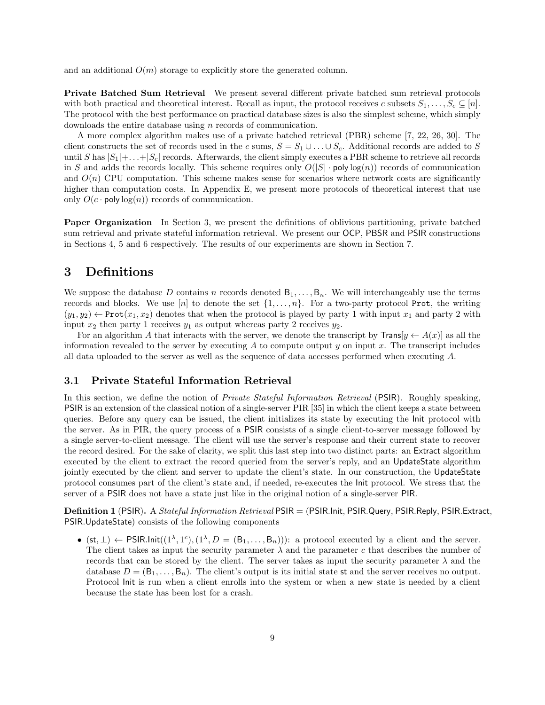and an additional  $O(m)$  storage to explicitly store the generated column.

Private Batched Sum Retrieval We present several different private batched sum retrieval protocols with both practical and theoretical interest. Recall as input, the protocol receives c subsets  $S_1, \ldots, S_c \subseteq [n]$ . The protocol with the best performance on practical database sizes is also the simplest scheme, which simply downloads the entire database using *n* records of communication.

A more complex algorithm makes use of a private batched retrieval (PBR) scheme [7, 22, 26, 30]. The client constructs the set of records used in the c sums,  $S = S_1 \cup \ldots \cup S_c$ . Additional records are added to S until S has  $|S_1|+\ldots+|S_c|$  records. Afterwards, the client simply executes a PBR scheme to retrieve all records in S and adds the records locally. This scheme requires only  $O(|S| \cdot \text{poly} \log(n))$  records of communication and  $O(n)$  CPU computation. This scheme makes sense for scenarios where network costs are significantly higher than computation costs. In Appendix E, we present more protocols of theoretical interest that use only  $O(c \cdot \text{poly}\log(n))$  records of communication.

**Paper Organization** In Section 3, we present the definitions of oblivious partitioning, private batched sum retrieval and private stateful information retrieval. We present our OCP, PBSR and PSIR constructions in Sections 4, 5 and 6 respectively. The results of our experiments are shown in Section 7.

## 3 Definitions

We suppose the database D contains n records denoted  $B_1, \ldots, B_n$ . We will interchangeably use the terms records and blocks. We use [n] to denote the set  $\{1, \ldots, n\}$ . For a two-party protocol Prot, the writing  $(y_1, y_2) \leftarrow \text{Prot}(x_1, x_2)$  denotes that when the protocol is played by party 1 with input  $x_1$  and party 2 with input  $x_2$  then party 1 receives  $y_1$  as output whereas party 2 receives  $y_2$ .

For an algorithm A that interacts with the server, we denote the transcript by  $\text{Trans}[y \leftarrow A(x)]$  as all the information revealed to the server by executing  $A$  to compute output  $y$  on input  $x$ . The transcript includes all data uploaded to the server as well as the sequence of data accesses performed when executing A.

#### 3.1 Private Stateful Information Retrieval

In this section, we define the notion of *Private Stateful Information Retrieval* (PSIR). Roughly speaking, PSIR is an extension of the classical notion of a single-server PIR [35] in which the client keeps a state between queries. Before any query can be issued, the client initializes its state by executing the Init protocol with the server. As in PIR, the query process of a PSIR consists of a single client-to-server message followed by a single server-to-client message. The client will use the server's response and their current state to recover the record desired. For the sake of clarity, we split this last step into two distinct parts: an Extract algorithm executed by the client to extract the record queried from the server's reply, and an UpdateState algorithm jointly executed by the client and server to update the client's state. In our construction, the UpdateState protocol consumes part of the client's state and, if needed, re-executes the Init protocol. We stress that the server of a PSIR does not have a state just like in the original notion of a single-server PIR.

Definition 1 (PSIR). A Stateful Information Retrieval PSIR = (PSIR.Init, PSIR.Query, PSIR.Reply, PSIR.Extract, PSIR.UpdateState) consists of the following components

• (st, ⊥)  $\leftarrow$  PSIR.Init( $(1^{\lambda}, 1^c), (1^{\lambda}, D = (B_1, \ldots, B_n))$ ): a protocol executed by a client and the server. The client takes as input the security parameter  $\lambda$  and the parameter c that describes the number of records that can be stored by the client. The server takes as input the security parameter  $\lambda$  and the database  $D = (B_1, \ldots, B_n)$ . The client's output is its initial state st and the server receives no output. Protocol Init is run when a client enrolls into the system or when a new state is needed by a client because the state has been lost for a crash.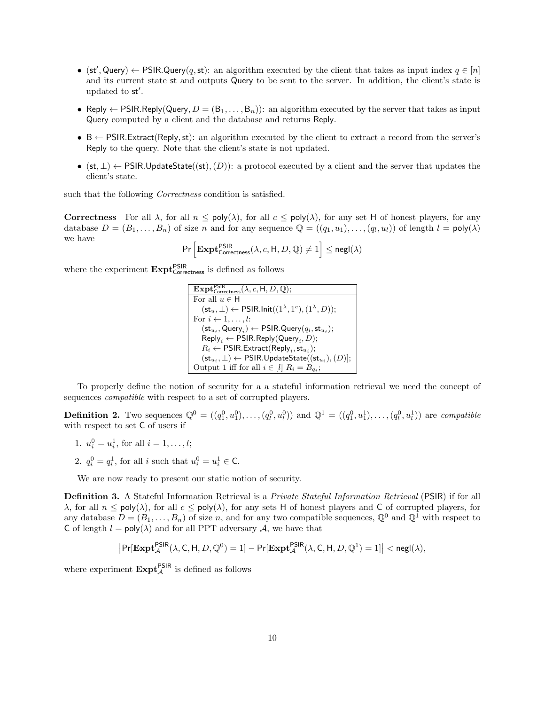- (st', Query) ← PSIR.Query(q, st): an algorithm executed by the client that takes as input index  $q \in [n]$ and its current state st and outputs Query to be sent to the server. In addition, the client's state is updated to st'.
- Reply  $\leftarrow$  PSIR.Reply(Query,  $D = (B_1, \ldots, B_n)$ ): an algorithm executed by the server that takes as input Query computed by a client and the database and returns Reply.
- $B \leftarrow PSHR. Extract(Reply, st):$  an algorithm executed by the client to extract a record from the server's Reply to the query. Note that the client's state is not updated.
- (st,  $\perp$ ) ← PSIR.UpdateState((st),  $(D)$ ): a protocol executed by a client and the server that updates the client's state.

such that the following *Correctness* condition is satisfied.

Correctness For all  $\lambda$ , for all  $n \leq poly(\lambda)$ , for all  $c \leq poly(\lambda)$ , for any set H of honest players, for any database  $D = (B_1, \ldots, B_n)$  of size n and for any sequence  $\mathbb{Q} = ((q_1, u_1), \ldots, (q_l, u_l))$  of length  $l = \text{poly}(\lambda)$ we have

$$
\Pr\left[\mathbf{Expt}_{\mathsf{Correctness}}^{\mathsf{PSIR}}(\lambda,c,\mathsf{H},D,\mathbb{Q})\neq 1\right]\leq \mathsf{negl}(\lambda)
$$

where the experiment  $\text{Expt}^{\text{PSIR}}_{\text{Correctness}}$  is defined as follows

 $\overline{\mathrm{Expt}}_{\mathrm{Correctness}}^{\mathrm{PSIR}}(\lambda, c, \mathsf{H}, D, \mathbb{Q});$ For all  $u\in\mathsf{H}$  $(\mathsf{st}_u, \bot) \leftarrow \mathsf{PSIR}.\mathsf{Init}((1^\lambda, 1^c), (1^\lambda, D));$ For  $i \leftarrow 1, \ldots, l$ :  $(\mathsf{st}_{u_i},\mathsf{Query}_{i}) \leftarrow \mathsf{PSIR}.\mathsf{Query}(q_i,\mathsf{st}_{u_i});$  $\mathsf{Reply}_i \leftarrow \mathsf{PSIR}.\mathsf{Reply}(\mathsf{Query}_i, D);$  $R_i \leftarrow \textsf{PSIR}.\textsf{Extract}(\textsf{Reply}_i,\textsf{st}_{u_i});$  $(\mathsf{st}_{u_i}, \bot) \leftarrow \mathsf{PSIR}. \mathsf{UpdateState}((\mathsf{st}_{u_i}), (D)];$ Output 1 iff for all  $i \in [l]$   $R_i = B_{q_i}$ ;

To properly define the notion of security for a a stateful information retrieval we need the concept of sequences compatible with respect to a set of corrupted players.

**Definition 2.** Two sequences  $\mathbb{Q}^0 = ((q_1^0, u_1^0), \dots, (q_l^0, u_l^0))$  and  $\mathbb{Q}^1 = ((q_1^0, u_1^1), \dots, (q_l^0, u_l^1))$  are *compatible* with respect to set C of users if

- 1.  $u_i^0 = u_i^1$ , for all  $i = 1, ..., l$ ;
- 2.  $q_i^0 = q_i^1$ , for all *i* such that  $u_i^0 = u_i^1 \in \mathsf{C}$ .

We are now ready to present our static notion of security.

Definition 3. A Stateful Information Retrieval is a *Private Stateful Information Retrieval* (PSIR) if for all  $\lambda$ , for all  $n \leq \text{poly}(\lambda)$ , for all  $c \leq \text{poly}(\lambda)$ , for any sets H of honest players and C of corrupted players, for any database  $D = (B_1, \ldots, B_n)$  of size n, and for any two compatible sequences,  $\mathbb{Q}^0$  and  $\mathbb{Q}^1$  with respect to C of length  $l = poly(\lambda)$  and for all PPT adversary A, we have that

$$
\left|\Pr[\mathbf{Expt}_{\mathcal{A}}^{\mathsf{PSIR}}(\lambda, \mathsf{C}, \mathsf{H}, D, \mathbb{Q}^0) = 1] - \Pr[\mathbf{Expt}_{\mathcal{A}}^{\mathsf{PSIR}}(\lambda, \mathsf{C}, \mathsf{H}, D, \mathbb{Q}^1) = 1]\right| < \mathsf{negl}(\lambda),
$$

where experiment  $\text{Expt}_{\mathcal{A}}^{\text{PSIR}}$  is defined as follows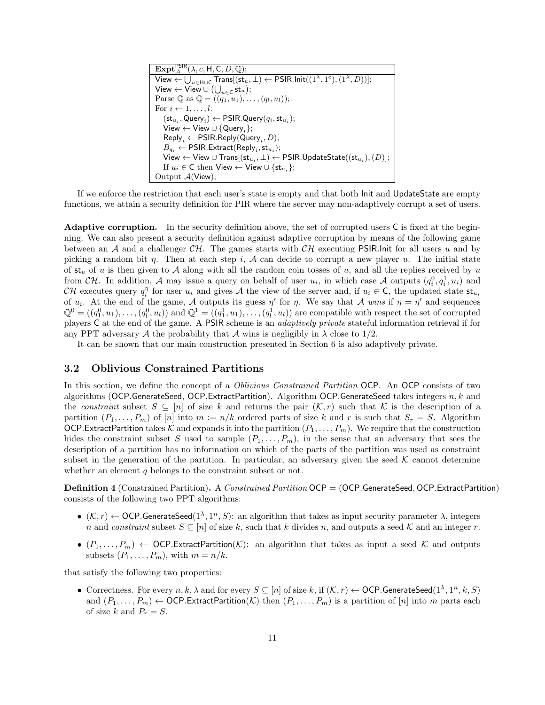$$
\begin{array}{l} \textbf{Expt}_2^{\text{PSIR}}(\lambda, c, \text{H}, \text{C}, D, \mathbb{Q});\\ \textbf{View} \leftarrow \bigcup_{u \in \text{HUC}} \text{Trans}[(\mathfrak{st}_u, \bot) \leftarrow \text{PSIR}.\text{Init}((1^\lambda, 1^c), (1^\lambda, D))];\\ \textbf{View} \leftarrow \text{View} \cup (\bigcup_{u \in \text{C}} \mathfrak{st}_u);\\ \textbf{Parse} \mathbb{Q} \text{ as } \mathbb{Q} = ((q_1, u_1), \ldots, (q_l, u_l));\\ \textbf{For } i \leftarrow 1, \ldots, l:\\ (\mathfrak{st}_{u_i}, \textbf{Query}_i) \leftarrow \text{PSIR}.\textbf{Query}(q_i, \mathfrak{st}_{u_i});\\ \textbf{View} \leftarrow \text{View} \cup \{\text{Query}_i\};\\ \textbf{Reply}_i \leftarrow \text{PSIR}.\textbf{Reply}(\textbf{Query}_i, D);\\ B_{q_i} \leftarrow \text{PSIR}.\textbf{Extrat}(\textbf{Reply}_i, \mathfrak{st}_{u_i});\\ \textbf{View} \leftarrow \textbf{View} \cup \textbf{Trans}[(\mathfrak{st}_{u_i}, \bot) \leftarrow \textbf{PSIR}.\textbf{UpdateState}((\mathfrak{st}_{u_i}), (D)];\\ \text{If } u_i \in \text{C} \text{ then View} \leftarrow \text{View} \cup \{\text{st}_{u_i}\};\\ \textbf{Output } \mathcal{A}(\textbf{View}); \end{array}
$$

If we enforce the restriction that each user's state is empty and that both Init and UpdateState are empty functions, we attain a security definition for PIR where the server may non-adaptively corrupt a set of users.

Adaptive corruption. In the security definition above, the set of corrupted users C is fixed at the beginning. We can also present a security definition against adaptive corruption by means of the following game between an A and a challenger  $CH$ . The games starts with  $CH$  executing PSIR. Init for all users u and by picking a random bit  $\eta$ . Then at each step i, A can decide to corrupt a new player u. The initial state of  $\mathsf{st}_u$  of u is then given to A along with all the random coin tosses of u, and all the replies received by u from CH. In addition, A may issue a query on behalf of user  $u_i$ , in which case A outputs  $(q_i^0, q_i^1, u_i)$  and CH executes query  $q_i^{\eta}$  for user  $u_i$  and gives A the view of the server and, if  $u_i \in \mathsf{C}$ , the updated state  $\mathsf{st}_{u_i}$ of  $u_i$ . At the end of the game, A outputs its guess  $\eta'$  for  $\eta$ . We say that A wins if  $\eta = \eta'$  and sequences  $\mathbb{Q}^0 = ((q_1^0, u_1), \ldots, (q_l^0, u_l))$  and  $\mathbb{Q}^1 = ((q_1^1, u_1), \ldots, (q_l^1, u_l))$  are compatible with respect the set of corrupted players C at the end of the game. A PSIR scheme is an adaptively private stateful information retrieval if for any PPT adversary A the probability that A wins is negligibly in  $\lambda$  close to 1/2.

It can be shown that our main construction presented in Section 6 is also adaptively private.

#### 3.2 Oblivious Constrained Partitions

In this section, we define the concept of a *Oblivious Constrained Partition* OCP. An OCP consists of two algorithms (OCP.GenerateSeed, OCP.ExtractPartition). Algorithm OCP.GenerateSeed takes integers n, k and the constraint subset  $S \subseteq [n]$  of size k and returns the pair  $(\mathcal{K}, r)$  such that K is the description of a partition  $(P_1, \ldots, P_m)$  of  $[n]$  into  $m := n/k$  ordered parts of size k and r is such that  $S_r = S$ . Algorithm OCP. ExtractPartition takes K and expands it into the partition  $(P_1, \ldots, P_m)$ . We require that the construction hides the constraint subset S used to sample  $(P_1, \ldots, P_m)$ , in the sense that an adversary that sees the description of a partition has no information on which of the parts of the partition was used as constraint subset in the generation of the partition. In particular, an adversary given the seed  $K$  cannot determine whether an element  $q$  belongs to the constraint subset or not.

Definition 4 (Constrained Partition). A Constrained Partition OCP = (OCP.GenerateSeed, OCP.ExtractPartition) consists of the following two PPT algorithms:

- $(K, r) \leftarrow$  OCP. Generate Seed  $(1^{\lambda}, 1^n, S)$ : an algorithm that takes as input security parameter  $\lambda$ , integers n and constraint subset  $S \subseteq [n]$  of size k, such that k divides n, and outputs a seed K and an integer r.
- $(P_1, \ldots, P_m) \leftarrow$  OCP. Extract Partition  $(K)$ : an algorithm that takes as input a seed K and outputs subsets  $(P_1, \ldots, P_m)$ , with  $m = n/k$ .

that satisfy the following two properties:

• Correctness. For every  $n, k, \lambda$  and for every  $S \subseteq [n]$  of size k, if  $(\mathcal{K}, r) \leftarrow$  OCP. GenerateSeed $(1^{\lambda}, 1^n, k, S)$ and  $(P_1,\ldots,P_m) \leftarrow$  OCP. Extract Partition  $(K)$  then  $(P_1,\ldots,P_m)$  is a partition of  $[n]$  into m parts each of size k and  $P_r = S$ .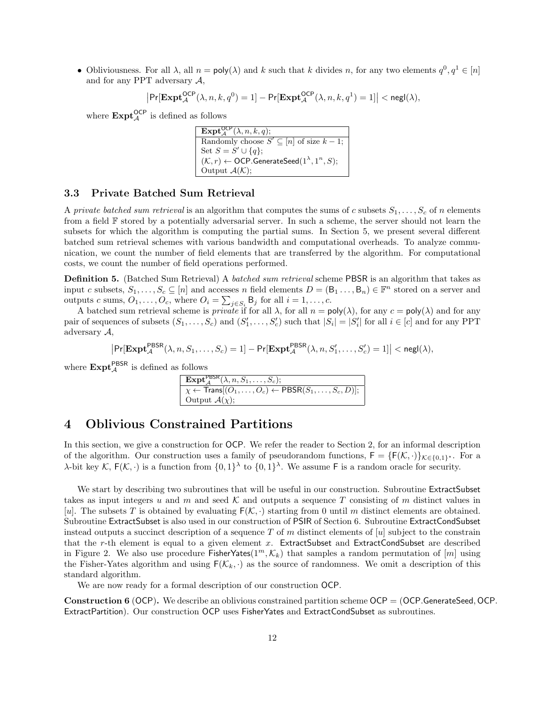• Obliviousness. For all  $\lambda$ , all  $n = \text{poly}(\lambda)$  and k such that k divides n, for any two elements  $q^0, q^1 \in [n]$ and for any PPT adversary  $A$ ,

$$
\left|\Pr[\mathbf{Expt}_{\mathcal{A}}^{\mathsf{OCP}}(\lambda,n,k,q^0)=1]-\Pr[\mathbf{Expt}_{\mathcal{A}}^{\mathsf{OCP}}(\lambda,n,k,q^1)=1]\right|<\mathsf{negl}(\lambda),
$$

where  $\text{Expt}_{\mathcal{A}}^{\text{OCP}}$  is defined as follows

| $\mathbf{Expt}_A^{\mathsf{OCP}}(\lambda, n, k, q);$                       |
|---------------------------------------------------------------------------|
| Randomly choose $S' \subseteq [n]$ of size $k-1$ ;                        |
| Set $S = S' \cup \{q\};$                                                  |
| $(\mathcal{K}, r) \leftarrow$ OCP. GenerateSeed $(1^{\lambda}, 1^n, S)$ ; |
| Output $\mathcal{A}(\mathcal{K});$                                        |

#### 3.3 Private Batched Sum Retrieval

A private batched sum retrieval is an algorithm that computes the sums of c subsets  $S_1, \ldots, S_c$  of n elements from a field F stored by a potentially adversarial server. In such a scheme, the server should not learn the subsets for which the algorithm is computing the partial sums. In Section 5, we present several different batched sum retrieval schemes with various bandwidth and computational overheads. To analyze communication, we count the number of field elements that are transferred by the algorithm. For computational costs, we count the number of field operations performed.

Definition 5. (Batched Sum Retrieval) A batched sum retrieval scheme PBSR is an algorithm that takes as input c subsets,  $S_1, \ldots, S_c \subseteq [n]$  and accesses n field elements  $D = (B_1, \ldots, B_n) \in \mathbb{F}^n$  stored on a server and outputs c sums,  $O_1, \ldots, O_c$ , where  $O_i = \sum_{j \in S_i} \mathsf{B}_j$  for all  $i = 1, \ldots, c$ .

A batched sum retrieval scheme is *private* if for all  $\lambda$ , for all  $n = \text{poly}(\lambda)$ , for any  $c = \text{poly}(\lambda)$  and for any pair of sequences of subsets  $(S_1, \ldots, S_c)$  and  $(S'_1, \ldots, S'_c)$  such that  $|S_i| = |S'_i|$  for all  $i \in [c]$  and for any PPT adversary A,

$$
\left|\Pr[\mathbf{Expt}_{\mathcal{A}}^{\mathsf{PBSR}}(\lambda,n,S_1,\ldots,S_c)=1]-\Pr[\mathbf{Expt}_{\mathcal{A}}^{\mathsf{PBSR}}(\lambda,n,S_1',\ldots,S_c')=1]\right|<\mathsf{negl}(\lambda),
$$

where  $\text{Expt}^{\text{PBSR}}_{\mathcal{A}}$  is defined as follows

| $\mathbf{Expt}_{\mathcal{A}}^{\mathsf{PBSR}}(\lambda, n, S_1, \ldots, S_c);$             |
|------------------------------------------------------------------------------------------|
| $\chi \leftarrow$ Trans $[(O_1, \ldots, O_c) \leftarrow$ PBSR $(S_1, \ldots, S_c, D)]$ ; |
| Output $A(\chi)$ ;                                                                       |

### 4 Oblivious Constrained Partitions

In this section, we give a construction for OCP. We refer the reader to Section 2, for an informal description of the algorithm. Our construction uses a family of pseudorandom functions,  $F = \{F(K, \cdot)\}_{K\in\{0,1\}^*}$ . For a λ-bit key K,  $F(K, \cdot)$  is a function from  $\{0, 1\}^{\lambda}$  to  $\{0, 1\}^{\lambda}$ . We assume F is a random oracle for security.

We start by describing two subroutines that will be useful in our construction. Subroutine ExtractSubset takes as input integers u and m and seed K and outputs a sequence T consisting of m distinct values in [u]. The subsets T is obtained by evaluating  $F(\mathcal{K}, \cdot)$  starting from 0 until m distinct elements are obtained. Subroutine ExtractSubset is also used in our construction of PSIR of Section 6. Subroutine ExtractCondSubset instead outputs a succinct description of a sequence T of m distinct elements of  $[u]$  subject to the constrain that the r-th element is equal to a given element x. ExtractSubset and ExtractCondSubset are described in Figure 2. We also use procedure FisherYates( $1^m, K_k$ ) that samples a random permutation of [m] using the Fisher-Yates algorithm and using  $F(\mathcal{K}_k, \cdot)$  as the source of randomness. We omit a description of this standard algorithm.

We are now ready for a formal description of our construction OCP.

**Construction 6 (OCP).** We describe an oblivious constrained partition scheme  $OCP = (OCP$ . GenerateSeed, OCP. ExtractPartition). Our construction OCP uses FisherYates and ExtractCondSubset as subroutines.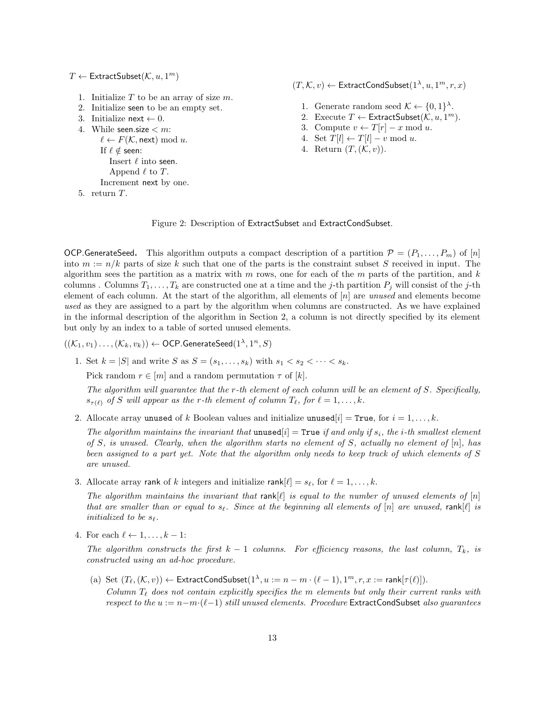$T \leftarrow$  ExtractSubset $(\mathcal{K}, u, 1^m)$ 

- 1. Initialize  $T$  to be an array of size  $m$ .
- 2. Initialize seen to be an empty set.
- 3. Initialize next  $\leftarrow$  0.
- 4. While seen.size  $\lt m$ :  $\ell \leftarrow F(\mathcal{K}, \text{next}) \text{ mod } u.$ If  $\ell \notin$  seen: Insert  $\ell$  into seen. Append  $\ell$  to  $T$ . Increment next by one.
- $(T, \mathcal{K}, v) \leftarrow$  ExtractCondSubset $(1^{\lambda}, u, 1^m, r, x)$ 
	- 1. Generate random seed  $\mathcal{K} \leftarrow \{0,1\}^{\lambda}$ .
	- 2. Execute  $T \leftarrow$  ExtractSubset $(\mathcal{K}, u, 1^m)$ .
	- 3. Compute  $v \leftarrow T[r] x \mod u$ .
	- 4. Set  $T[l] \leftarrow T[l] v \mod u$ .
	- 4. Return  $(T,(\mathcal{K},v))$ .

5. return T.

Figure 2: Description of ExtractSubset and ExtractCondSubset.

OCP.GenerateSeed. This algorithm outputs a compact description of a partition  $\mathcal{P} = (P_1, \ldots, P_m)$  of  $[n]$ into  $m := n/k$  parts of size k such that one of the parts is the constraint subset S received in input. The algorithm sees the partition as a matrix with m rows, one for each of the m parts of the partition, and  $k$ columns . Columns  $T_1, \ldots, T_k$  are constructed one at a time and the j-th partition  $P_i$  will consist of the j-th element of each column. At the start of the algorithm, all elements of  $[n]$  are unused and elements become used as they are assigned to a part by the algorithm when columns are constructed. As we have explained in the informal description of the algorithm in Section 2, a column is not directly specified by its element but only by an index to a table of sorted unused elements.

 $((\mathcal{K}_1, v_1) \ldots, (\mathcal{K}_k, v_k)) \leftarrow \mathsf{OCP}.\mathsf{GenerateSeed}(1^\lambda, 1^n, S)$ 

1. Set  $k = |S|$  and write S as  $S = (s_1, \ldots, s_k)$  with  $s_1 < s_2 < \cdots < s_k$ .

Pick random  $r \in [m]$  and a random permutation  $\tau$  of  $[k]$ .

The algorithm will guarantee that the r-th element of each column will be an element of S. Specifically,  $s_{\tau(\ell)}$  of S will appear as the r-th element of column  $T_{\ell}$ , for  $\ell = 1, \ldots, k$ .

2. Allocate array unused of k Boolean values and initialize unused  $[i] = True$ , for  $i = 1, ..., k$ .

The algorithm maintains the invariant that unused  $[i]$  = True if and only if  $s_i$ , the *i*-th smallest element of S, is unused. Clearly, when the algorithm starts no element of S, actually no element of  $[n]$ , has been assigned to a part yet. Note that the algorithm only needs to keep track of which elements of S are unused.

3. Allocate array rank of k integers and initialize rank  $[\ell] = s_{\ell}$ , for  $\ell = 1, \ldots, k$ .

The algorithm maintains the invariant that rank  $[\ell]$  is equal to the number of unused elements of  $[n]$ that are smaller than or equal to  $s_\ell$ . Since at the beginning all elements of  $[n]$  are unused, rank[ $\ell$ ] is initialized to be  $s_{\ell}$ .

4. For each  $\ell \leftarrow 1, \ldots, k - 1$ :

The algorithm constructs the first  $k - 1$  columns. For efficiency reasons, the last column,  $T_k$ , is constructed using an ad-hoc procedure.

(a) Set  $(T_{\ell},(\mathcal{K},v)) \leftarrow$  ExtractCondSubset $(1^{\lambda}, u := n - m \cdot (\ell - 1), 1^m, r, x := \text{rank}[\tau(\ell)]).$ Column  $T_\ell$  does not contain explicitly specifies the m elements but only their current ranks with respect to the  $u := n-m \cdot (\ell-1)$  still unused elements. Procedure ExtractCondSubset also guarantees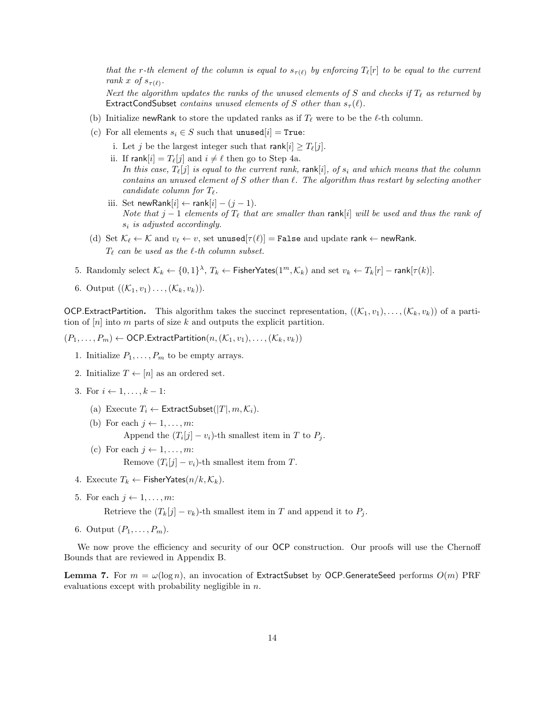that the r-th element of the column is equal to  $s_{\tau(\ell)}$  by enforcing  $T_{\ell}[r]$  to be equal to the current rank x of  $s_{\tau(\ell)}$ .

Next the algorithm updates the ranks of the unused elements of S and checks if  $T_\ell$  as returned by ExtractCondSubset contains unused elements of S other than  $s_\tau(\ell)$ .

- (b) Initialize newRank to store the updated ranks as if  $T_\ell$  were to be the  $\ell$ -th column.
- (c) For all elements  $s_i \in S$  such that unused[i] = True:
	- i. Let j be the largest integer such that rank[i]  $\geq T_{\ell}[j]$ .
	- ii. If rank $[i] = T_{\ell}[j]$  and  $i \neq \ell$  then go to Step 4a. In this case,  $T_{\ell}[j]$  is equal to the current rank, rank[i], of  $s_i$  and which means that the column contains an unused element of S other than  $\ell$ . The algorithm thus restart by selecting another candidate column for  $T_{\ell}$ .
	- iii. Set newRank[i] ← rank[i]  $(j 1)$ . Note that j – 1 elements of  $T_\ell$  that are smaller than rank[i] will be used and thus the rank of  $s_i$  is adjusted accordingly.
- (d) Set  $\mathcal{K}_{\ell} \leftarrow \mathcal{K}$  and  $v_{\ell} \leftarrow v$ , set unused $[\tau(\ell)]$  = False and update rank  $\leftarrow$  newRank.  $T_{\ell}$  can be used as the  $\ell$ -th column subset.
- 5. Randomly select  $\mathcal{K}_k \leftarrow \{0,1\}^{\lambda}, T_k \leftarrow \textsf{FisherYates}(1^m, \mathcal{K}_k)$  and set  $v_k \leftarrow T_k[r] \textsf{rank}[\tau(k)]$ .
- 6. Output  $((\mathcal{K}_1, v_1) \ldots, (\mathcal{K}_k, v_k)).$

OCP.ExtractPartition. This algorithm takes the succinct representation,  $((\mathcal{K}_1, v_1), \ldots, (\mathcal{K}_k, v_k))$  of a partition of  $[n]$  into m parts of size k and outputs the explicit partition.

 $(P_1, \ldots, P_m) \leftarrow$  OCP. Extract Partition $(n, (\mathcal{K}_1, v_1), \ldots, (\mathcal{K}_k, v_k))$ 

- 1. Initialize  $P_1, \ldots, P_m$  to be empty arrays.
- 2. Initialize  $T \leftarrow [n]$  as an ordered set.
- 3. For  $i \leftarrow 1, \ldots, k-1$ :
	- (a) Execute  $T_i \leftarrow$  ExtractSubset(|T|, m,  $\mathcal{K}_i$ ).
	- (b) For each  $j \leftarrow 1, \ldots, m$ : Append the  $(T_i[j] - v_i)$ -th smallest item in T to  $P_j$ .
	- (c) For each  $j \leftarrow 1, \ldots, m$ : Remove  $(T_i[j] - v_i)$ -th smallest item from T.
- 4. Execute  $T_k \leftarrow$  FisherYates $(n/k, K_k)$ .
- 5. For each  $j \leftarrow 1, \ldots, m$ :

Retrieve the  $(T_k[j] - v_k)$ -th smallest item in T and append it to  $P_j$ .

6. Output  $(P_1, \ldots, P_m)$ .

We now prove the efficiency and security of our OCP construction. Our proofs will use the Chernoff Bounds that are reviewed in Appendix B.

**Lemma 7.** For  $m = \omega(\log n)$ , an invocation of ExtractSubset by OCP. Generate Seed performs  $O(m)$  PRF evaluations except with probability negligible in  $n$ .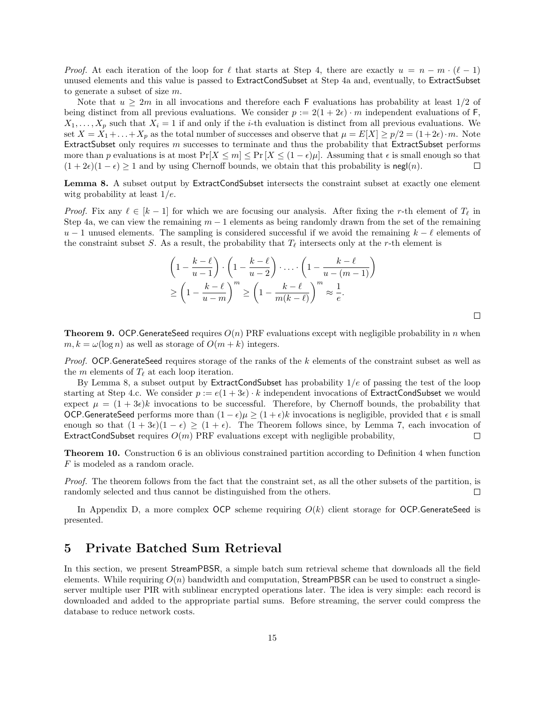*Proof.* At each iteration of the loop for  $\ell$  that starts at Step 4, there are exactly  $u = n - m \cdot (\ell - 1)$ unused elements and this value is passed to ExtractCondSubset at Step 4a and, eventually, to ExtractSubset to generate a subset of size m.

Note that  $u \geq 2m$  in all invocations and therefore each F evaluations has probability at least  $1/2$  of being distinct from all previous evaluations. We consider  $p := 2(1 + 2\epsilon) \cdot m$  independent evaluations of F,  $X_1, \ldots, X_p$  such that  $X_i = 1$  if and only if the *i*-th evaluation is distinct from all previous evaluations. We set  $X = X_1 + ... + X_p$  as the total number of successes and observe that  $\mu = E[X] \ge p/2 = (1+2\epsilon) \cdot m$ . Note ExtractSubset only requires m successes to terminate and thus the probability that ExtractSubset performs more than p evaluations is at most  $Pr[X \le m] \le Pr[X \le (1 - \epsilon)\mu]$ . Assuming that  $\epsilon$  is small enough so that  $(1 + 2\epsilon)(1 - \epsilon) \ge 1$  and by using Chernoff bounds, we obtain that this probability is negl(n).  $\Box$ 

Lemma 8. A subset output by ExtractCondSubset intersects the constraint subset at exactly one element witg probability at least  $1/e$ .

*Proof.* Fix any  $\ell \in [k-1]$  for which we are focusing our analysis. After fixing the r-th element of  $T_\ell$  in Step 4a, we can view the remaining  $m-1$  elements as being randomly drawn from the set of the remaining u − 1 unused elements. The sampling is considered successful if we avoid the remaining  $k - \ell$  elements of the constraint subset S. As a result, the probability that  $T_\ell$  intersects only at the r-th element is

$$
\left(1 - \frac{k - \ell}{u - 1}\right) \cdot \left(1 - \frac{k - \ell}{u - 2}\right) \cdot \ldots \cdot \left(1 - \frac{k - \ell}{u - (m - 1)}\right)
$$
  
\n
$$
\ge \left(1 - \frac{k - \ell}{u - m}\right)^m \ge \left(1 - \frac{k - \ell}{m(k - \ell)}\right)^m \approx \frac{1}{e}.
$$

**Theorem 9.** OCP.GenerateSeed requires  $O(n)$  PRF evaluations except with negligible probability in n when  $m, k = \omega(\log n)$  as well as storage of  $O(m + k)$  integers.

*Proof.* OCP.GenerateSeed requires storage of the ranks of the  $k$  elements of the constraint subset as well as the m elements of  $T_{\ell}$  at each loop iteration.

By Lemma 8, a subset output by ExtractCondSubset has probability  $1/e$  of passing the test of the loop starting at Step 4.c. We consider  $p := e(1 + 3\epsilon) \cdot k$  independent invocations of ExtractCondSubset we would expect  $\mu = (1 + 3\epsilon)k$  invocations to be successful. Therefore, by Chernoff bounds, the probability that OCP.GenerateSeed performs more than  $(1 - \epsilon)\mu \ge (1 + \epsilon)k$  invocations is negligible, provided that  $\epsilon$  is small enough so that  $(1 + 3\epsilon)(1 - \epsilon) \ge (1 + \epsilon)$ . The Theorem follows since, by Lemma 7, each invocation of ExtractCondSubset requires  $O(m)$  PRF evaluations except with negligible probability,  $\Box$ 

Theorem 10. Construction 6 is an oblivious constrained partition according to Definition 4 when function F is modeled as a random oracle.

Proof. The theorem follows from the fact that the constraint set, as all the other subsets of the partition, is randomly selected and thus cannot be distinguished from the others.  $\Box$ 

In Appendix D, a more complex OCP scheme requiring  $O(k)$  client storage for OCP.GenerateSeed is presented.

### 5 Private Batched Sum Retrieval

In this section, we present StreamPBSR, a simple batch sum retrieval scheme that downloads all the field elements. While requiring  $O(n)$  bandwidth and computation, StreamPBSR can be used to construct a singleserver multiple user PIR with sublinear encrypted operations later. The idea is very simple: each record is downloaded and added to the appropriate partial sums. Before streaming, the server could compress the database to reduce network costs.

 $\Box$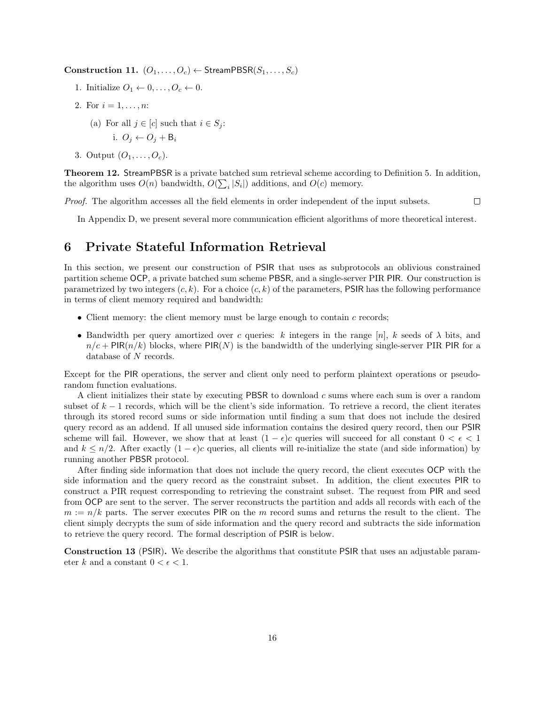Construction 11.  $(O_1, \ldots, O_c) \leftarrow$  StreamPBSR $(S_1, \ldots, S_c)$ 

- 1. Initialize  $O_1 \leftarrow 0, \ldots, O_c \leftarrow 0$ .
- 2. For  $i = 1, ..., n$ :
	- (a) For all  $j \in [c]$  such that  $i \in S_i$ :
		- i.  $O_i \leftarrow O_i + B_i$
- 3. Output  $(O_1, \ldots, O_c)$ .

Theorem 12. StreamPBSR is a private batched sum retrieval scheme according to Definition 5. In addition, the algorithm uses  $O(n)$  bandwidth,  $O(\sum_i |S_i|)$  additions, and  $O(c)$  memory.

Proof. The algorithm accesses all the field elements in order independent of the input subsets.

 $\Box$ 

In Appendix D, we present several more communication efficient algorithms of more theoretical interest.

## 6 Private Stateful Information Retrieval

In this section, we present our construction of PSIR that uses as subprotocols an oblivious constrained partition scheme OCP, a private batched sum scheme PBSR, and a single-server PIR PIR. Our construction is parametrized by two integers  $(c, k)$ . For a choice  $(c, k)$  of the parameters, PSIR has the following performance in terms of client memory required and bandwidth:

- Client memory: the client memory must be large enough to contain  $c$  records;
- Bandwidth per query amortized over c queries: k integers in the range [n], k seeds of  $\lambda$  bits, and  $n/c$  + PIR( $n/k$ ) blocks, where PIR(N) is the bandwidth of the underlying single-server PIR PIR for a database of N records.

Except for the PIR operations, the server and client only need to perform plaintext operations or pseudorandom function evaluations.

A client initializes their state by executing PBSR to download c sums where each sum is over a random subset of  $k-1$  records, which will be the client's side information. To retrieve a record, the client iterates through its stored record sums or side information until finding a sum that does not include the desired query record as an addend. If all unused side information contains the desired query record, then our PSIR scheme will fail. However, we show that at least  $(1 - \epsilon)c$  queries will succeed for all constant  $0 < \epsilon < 1$ and  $k \leq n/2$ . After exactly  $(1 - \epsilon)c$  queries, all clients will re-initialize the state (and side information) by running another PBSR protocol.

After finding side information that does not include the query record, the client executes OCP with the side information and the query record as the constraint subset. In addition, the client executes PIR to construct a PIR request corresponding to retrieving the constraint subset. The request from PIR and seed from OCP are sent to the server. The server reconstructs the partition and adds all records with each of the  $m := n/k$  parts. The server executes PIR on the m record sums and returns the result to the client. The client simply decrypts the sum of side information and the query record and subtracts the side information to retrieve the query record. The formal description of PSIR is below.

Construction 13 (PSIR). We describe the algorithms that constitute PSIR that uses an adjustable parameter k and a constant  $0 < \epsilon < 1$ .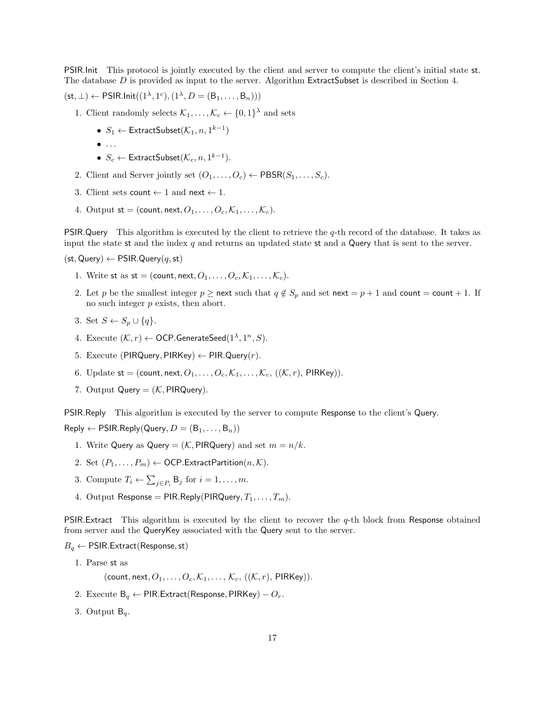PSIR.Init This protocol is jointly executed by the client and server to compute the client's initial state st. The database D is provided as input to the server. Algorithm ExtractSubset is described in Section 4.

 $(st, \perp) \leftarrow \textsf{PSIR-Init}((1^{\lambda}, 1^c), (1^{\lambda}, D = (B_1, \ldots, B_n)))$ 

- 1. Client randomly selects  $\mathcal{K}_1, \ldots, \mathcal{K}_c \leftarrow \{0, 1\}^{\lambda}$  and sets
	- $S_1 \leftarrow$  ExtractSubset $(\mathcal{K}_1, n, 1^{k-1})$
	- $\bullet$  ...
	- $S_c \leftarrow$  ExtractSubset $(\mathcal{K}_c, n, 1^{k-1})$ .
- 2. Client and Server jointly set  $(O_1, \ldots, O_c) \leftarrow \mathsf{PBSR}(S_1, \ldots, S_c)$ .
- 3. Client sets count  $\leftarrow$  1 and next  $\leftarrow$  1.
- 4. Output  $st = (count, next, O_1, \ldots, O_c, \mathcal{K}_1, \ldots, \mathcal{K}_c).$

PSIR.Query This algorithm is executed by the client to retrieve the q-th record of the database. It takes as input the state st and the index  $q$  and returns an updated state st and a Query that is sent to the server.

 $(st, Query) \leftarrow PSIR.Query(q, st)$ 

- 1. Write st as  $st = (count, next, O_1, \ldots, O_c, \mathcal{K}_1, \ldots, \mathcal{K}_c)$ .
- 2. Let p be the smallest integer  $p \ge$  next such that  $q \notin S_p$  and set next =  $p + 1$  and count = count + 1. If no such integer p exists, then abort.
- 3. Set  $S \leftarrow S_p \cup \{q\}.$
- 4. Execute  $(K,r) \leftarrow$  OCP.GenerateSeed $(1^{\lambda}, 1^n, S)$ .
- 5. Execute (PIRQuery, PIRKey)  $\leftarrow$  PIR.Query(r).
- 6. Update st = (count, next,  $O_1, \ldots, O_c, \mathcal{K}_1, \ldots, \mathcal{K}_c$ ,  $((\mathcal{K}, r), \text{PIRKey})$ ).
- 7. Output Query  $=(\mathcal{K},\text{PIRQuery}).$

PSIR.Reply This algorithm is executed by the server to compute Response to the client's Query.

 $\mathsf{Reply} \leftarrow \mathsf{PSIR}.\mathsf{Reply}(\mathsf{Query}, D = (\mathsf{B}_1, \ldots, \mathsf{B}_n))$ 

- 1. Write Query as Query =  $(K, \text{PIRQuery})$  and set  $m = n/k$ .
- 2. Set  $(P_1, \ldots, P_m) \leftarrow$  OCP. Extract Partition  $(n, K)$ .
- 3. Compute  $T_i \leftarrow \sum_{j \in P_i} \mathsf{B}_j$  for  $i = 1, \ldots, m$ .
- 4. Output Response = PIR.Reply(PIRQuery,  $T_1, \ldots, T_m$ ).

PSIR.Extract This algorithm is executed by the client to recover the  $q$ -th block from Response obtained from server and the QueryKey associated with the Query sent to the server.

 $B_q \leftarrow \textsf{PSIR}$ . Extract (Response, st)

1. Parse st as

(count, next,  $O_1, \ldots, O_c, \mathcal{K}_1, \ldots, \mathcal{K}_c, ((\mathcal{K}, r), \text{PIRKey})).$ 

- 2. Execute  $B_q \leftarrow PIR.Extract(Response, PIRKey) O_r$ .
- 3. Output  $B_q$ .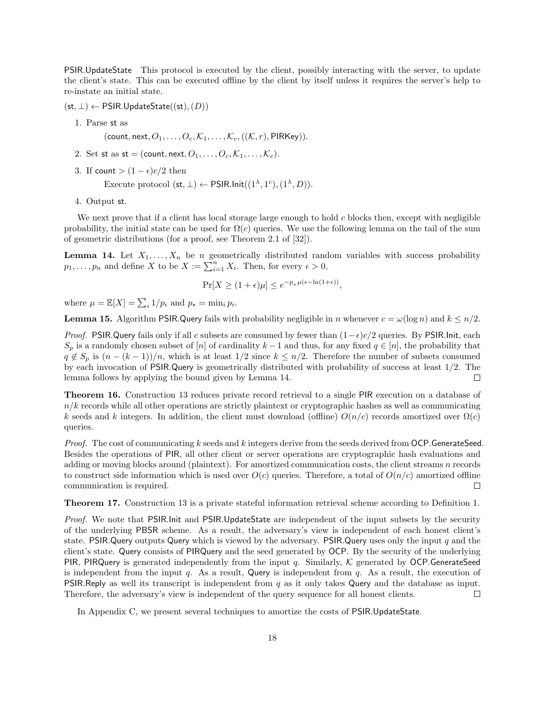PSIR.UpdateState This protocol is executed by the client, possibly interacting with the server, to update the client's state. This can be executed offline by the client by itself unless it requires the server's help to re-instate an initial state.

 $(st, \perp) \leftarrow \text{PSIR.UpdateState}((st), (D))$ 

1. Parse st as

(count, next,  $O_1, \ldots, O_c, \mathcal{K}_1, \ldots, \mathcal{K}_c, ((\mathcal{K}, r), \text{PIRKey})).$ 

- 2. Set st as  $st = (count, next, O_1, \ldots, O_c, \mathcal{K}_1, \ldots, \mathcal{K}_c).$
- 3. If count  $>(1 \epsilon)c/2$  then

Execute protocol  $(\mathsf{st}, \bot) \leftarrow \mathsf{PSIR}.\mathsf{Init}((1^\lambda, 1^c), (1^\lambda, D)).$ 

4. Output st.

We next prove that if a client has local storage large enough to hold  $c$  blocks then, except with negligible probability, the initial state can be used for  $\Omega(c)$  queries. We use the following lemma on the tail of the sum of geometric distributions (for a proof, see Theorem 2.1 of [32]).

**Lemma 14.** Let  $X_1, \ldots, X_n$  be n geometrically distributed random variables with success probability  $p_1, \ldots, p_n$  and define X to be  $X := \sum_{i=1}^n X_i$ . Then, for every  $\epsilon > 0$ ,

$$
\Pr[X \ge (1 + \epsilon)\mu] \le e^{-p_{\star}\mu(\epsilon - \ln(1 + \epsilon))},
$$

where  $\mu = \mathbb{E}[X] = \sum_i 1/p_i$  and  $p_* = \min_i p_i$ .

**Lemma 15.** Algorithm PSIR.Query fails with probability negligible in n whenever  $c = \omega(\log n)$  and  $k \leq n/2$ .

*Proof.* PSIR.Query fails only if all c subsets are consumed by fewer than  $(1-\epsilon)c/2$  queries. By PSIR.Init, each  $S_p$  is a randomly chosen subset of [n] of cardinality k – 1 and thus, for any fixed  $q \in [n]$ , the probability that  $q \notin S_p$  is  $(n - (k - 1))/n$ , which is at least 1/2 since  $k \leq n/2$ . Therefore the number of subsets consumed by each invocation of PSIR.Query is geometrically distributed with probability of success at least 1/2. The lemma follows by applying the bound given by Lemma 14.  $\Box$ 

Theorem 16. Construction 13 reduces private record retrieval to a single PIR execution on a database of  $n/k$  records while all other operations are strictly plaintext or cryptographic hashes as well as communicating k seeds and k integers. In addition, the client must download (offline)  $O(n/c)$  records amortized over  $\Omega(c)$ queries.

*Proof.* The cost of communicating k seeds and k integers derive from the seeds derived from OCP.GenerateSeed. Besides the operations of PIR, all other client or server operations are cryptographic hash evaluations and adding or moving blocks around (plaintext). For amortized communication costs, the client streams  $n$  records to construct side information which is used over  $O(c)$  queries. Therefore, a total of  $O(n/c)$  amortized offline communication is required.  $\Box$ 

Theorem 17. Construction 13 is a private stateful information retrieval scheme according to Definition 1.

Proof. We note that PSIR.Init and PSIR.UpdateState are independent of the input subsets by the security of the underlying PBSR scheme. As a result, the adversary's view is independent of each honest client's state. PSIR.Query outputs Query which is viewed by the adversary. PSIR.Query uses only the input q and the client's state. Query consists of PIRQuery and the seed generated by OCP. By the security of the underlying PIR, PIRQuery is generated independently from the input q. Similarly,  $K$  generated by OCP.GenerateSeed is independent from the input  $q$ . As a result, Query is independent from  $q$ . As a result, the execution of PSIR.Reply as well its transcript is independent from  $q$  as it only takes Query and the database as input. Therefore, the adversary's view is independent of the query sequence for all honest clients.  $\Box$ 

In Appendix C, we present several techniques to amortize the costs of PSIR.UpdateState.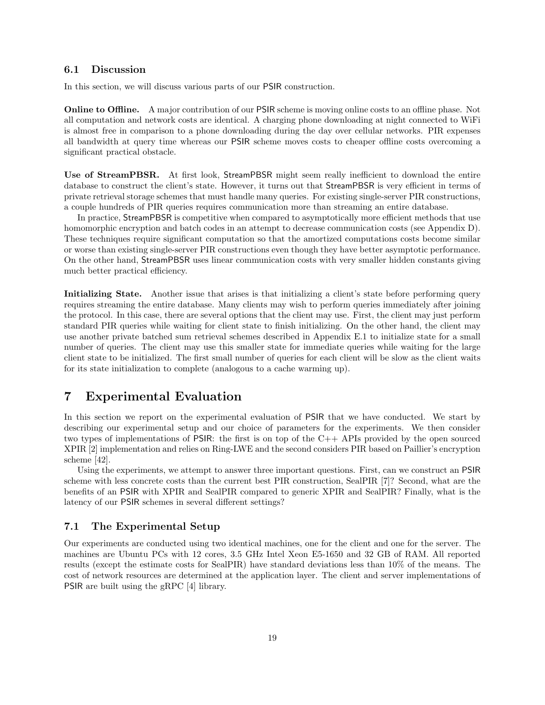#### 6.1 Discussion

In this section, we will discuss various parts of our PSIR construction.

Online to Offline. A major contribution of our PSIR scheme is moving online costs to an offline phase. Not all computation and network costs are identical. A charging phone downloading at night connected to WiFi is almost free in comparison to a phone downloading during the day over cellular networks. PIR expenses all bandwidth at query time whereas our PSIR scheme moves costs to cheaper offline costs overcoming a significant practical obstacle.

Use of StreamPBSR. At first look, StreamPBSR might seem really inefficient to download the entire database to construct the client's state. However, it turns out that StreamPBSR is very efficient in terms of private retrieval storage schemes that must handle many queries. For existing single-server PIR constructions, a couple hundreds of PIR queries requires communication more than streaming an entire database.

In practice, StreamPBSR is competitive when compared to asymptotically more efficient methods that use homomorphic encryption and batch codes in an attempt to decrease communication costs (see Appendix D). These techniques require significant computation so that the amortized computations costs become similar or worse than existing single-server PIR constructions even though they have better asymptotic performance. On the other hand, StreamPBSR uses linear communication costs with very smaller hidden constants giving much better practical efficiency.

Initializing State. Another issue that arises is that initializing a client's state before performing query requires streaming the entire database. Many clients may wish to perform queries immediately after joining the protocol. In this case, there are several options that the client may use. First, the client may just perform standard PIR queries while waiting for client state to finish initializing. On the other hand, the client may use another private batched sum retrieval schemes described in Appendix E.1 to initialize state for a small number of queries. The client may use this smaller state for immediate queries while waiting for the large client state to be initialized. The first small number of queries for each client will be slow as the client waits for its state initialization to complete (analogous to a cache warming up).

## 7 Experimental Evaluation

In this section we report on the experimental evaluation of PSIR that we have conducted. We start by describing our experimental setup and our choice of parameters for the experiments. We then consider two types of implementations of PSIR: the first is on top of the C++ APIs provided by the open sourced XPIR [2] implementation and relies on Ring-LWE and the second considers PIR based on Paillier's encryption scheme [42].

Using the experiments, we attempt to answer three important questions. First, can we construct an PSIR scheme with less concrete costs than the current best PIR construction, SealPIR [7]? Second, what are the benefits of an PSIR with XPIR and SealPIR compared to generic XPIR and SealPIR? Finally, what is the latency of our PSIR schemes in several different settings?

#### 7.1 The Experimental Setup

Our experiments are conducted using two identical machines, one for the client and one for the server. The machines are Ubuntu PCs with 12 cores, 3.5 GHz Intel Xeon E5-1650 and 32 GB of RAM. All reported results (except the estimate costs for SealPIR) have standard deviations less than 10% of the means. The cost of network resources are determined at the application layer. The client and server implementations of PSIR are built using the gRPC [4] library.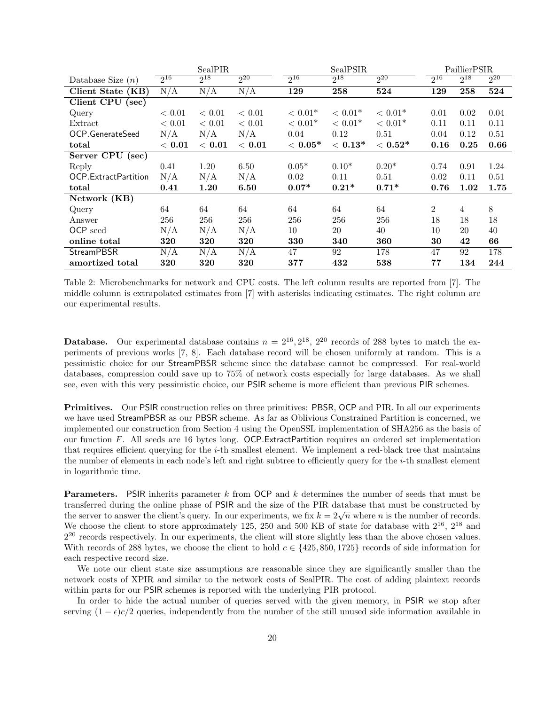|                        |          | SealPIR. |           | SealPSIR  |           |            | PaillierPSIR   |                |          |
|------------------------|----------|----------|-----------|-----------|-----------|------------|----------------|----------------|----------|
| Database Size $(n)$    | $2^{16}$ | $2^{18}$ | $2^{20}$  | $2^{16}$  | $2^{18}$  | $2^{20}$   | $2^{16}$       | $2^{18}$       | $2^{20}$ |
| Client State (KB)      | N/A      | N/A      | N/A       | 129       | 258       | 524        | 129            | 258            | 524      |
| Client CPU (sec)       |          |          |           |           |           |            |                |                |          |
| Query                  | < 0.01   | < 0.01   | < 0.01    | $< 0.01*$ | $< 0.01*$ | $< 0.01*$  | 0.01           | 0.02           | 0.04     |
| Extract                | < 0.01   | < 0.01   | < 0.01    | $< 0.01*$ | $< 0.01*$ | $< 0.01*$  | 0.11           | 0.11           | 0.11     |
| OCP.GenerateSeed       | N/A      | N/A      | N/A       | 0.04      | 0.12      | 0.51       | 0.04           | 0.12           | 0.51     |
| total                  | < 0.01   | < 0.01   | $<\,0.01$ | $< 0.05*$ | $< 0.13*$ | $< 0.52^*$ | 0.16           | 0.25           | 0.66     |
| Server CPU (sec)       |          |          |           |           |           |            |                |                |          |
| Reply                  | 0.41     | 1.20     | 6.50      | $0.05*$   | $0.10*$   | $0.20*$    | 0.74           | 0.91           | 1.24     |
| OCP. Extract Partition | N/A      | N/A      | N/A       | 0.02      | 0.11      | 0.51       | 0.02           | 0.11           | 0.51     |
| total                  | 0.41     | 1.20     | 6.50      | $0.07*$   | $0.21*$   | $0.71*$    | 0.76           | 1.02           | 1.75     |
| Network (KB)           |          |          |           |           |           |            |                |                |          |
| Query                  | 64       | 64       | 64        | 64        | 64        | 64         | $\overline{2}$ | $\overline{4}$ | 8        |
| Answer                 | 256      | 256      | 256       | 256       | 256       | 256        | 18             | 18             | 18       |
| OCP seed               | N/A      | N/A      | N/A       | 10        | 20        | 40         | 10             | 20             | 40       |
| online total           | 320      | 320      | 320       | 330       | 340       | 360        | 30             | 42             | 66       |
| <b>StreamPBSR</b>      | N/A      | N/A      | N/A       | 47        | 92        | 178        | 47             | 92             | 178      |
| amortized total        | 320      | 320      | 320       | 377       | 432       | 538        | 77             | 134            | 244      |

Table 2: Microbenchmarks for network and CPU costs. The left column results are reported from [7]. The middle column is extrapolated estimates from [7] with asterisks indicating estimates. The right column are our experimental results.

**Database.** Our experimental database contains  $n = 2^{16}, 2^{18}, 2^{20}$  records of 288 bytes to match the experiments of previous works [7, 8]. Each database record will be chosen uniformly at random. This is a pessimistic choice for our StreamPBSR scheme since the database cannot be compressed. For real-world databases, compression could save up to 75% of network costs especially for large databases. As we shall see, even with this very pessimistic choice, our PSIR scheme is more efficient than previous PIR schemes.

Primitives. Our PSIR construction relies on three primitives: PBSR, OCP and PIR. In all our experiments we have used StreamPBSR as our PBSR scheme. As far as Oblivious Constrained Partition is concerned, we implemented our construction from Section 4 using the OpenSSL implementation of SHA256 as the basis of our function F. All seeds are 16 bytes long. OCP.ExtractPartition requires an ordered set implementation that requires efficient querying for the i-th smallest element. We implement a red-black tree that maintains the number of elements in each node's left and right subtree to efficiently query for the i-th smallest element in logarithmic time.

Parameters. PSIR inherits parameter k from OCP and k determines the number of seeds that must be transferred during the online phase of PSIR and the size of the PIR database that must be constructed by transferred during the offline phase of F3nV and the size of the FIR database that must be constructed by the server to answer the client's query. In our experiments, we fix  $k = 2\sqrt{n}$  where n is the number of records. We choose the client to store approximately 125, 250 and 500 KB of state for database with  $2^{16}$ ,  $2^{18}$  and  $2^{20}$  records respectively. In our experiments, the client will store slightly less than the above chosen values. With records of 288 bytes, we choose the client to hold  $c \in \{425, 850, 1725\}$  records of side information for each respective record size.

We note our client state size assumptions are reasonable since they are significantly smaller than the network costs of XPIR and similar to the network costs of SealPIR. The cost of adding plaintext records within parts for our PSIR schemes is reported with the underlying PIR protocol.

In order to hide the actual number of queries served with the given memory, in PSIR we stop after serving  $(1 - \epsilon)c/2$  queries, independently from the number of the still unused side information available in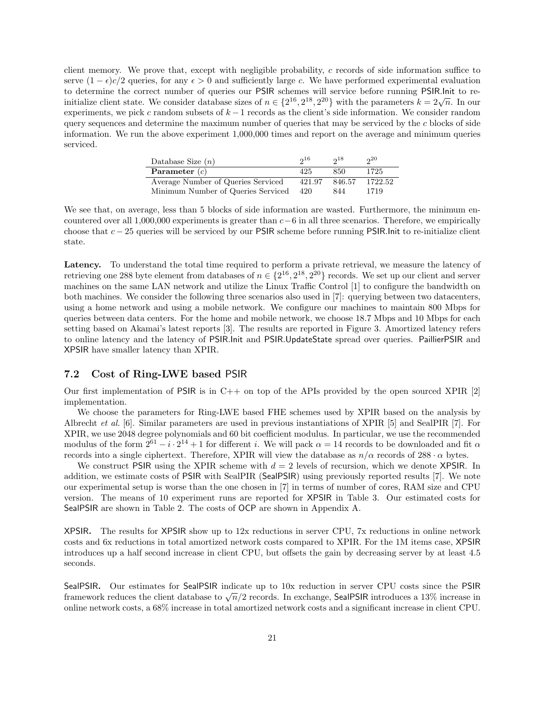client memory. We prove that, except with negligible probability, c records of side information suffice to serve  $(1 - \epsilon)c/2$  queries, for any  $\epsilon > 0$  and sufficiently large c. We have performed experimental evaluation to determine the correct number of queries our PSIR schemes will service before running PSIR.Init to reto determine the correct number of queries our FSR schemes will service before running FSR. In our initialize client state. We consider database sizes of  $n \in \{2^{16}, 2^{18}, 2^{20}\}$  with the parameters  $k = 2\sqrt{n}$ . In our experiments, we pick c random subsets of  $k-1$  records as the client's side information. We consider random query sequences and determine the maximum number of queries that may be serviced by the c blocks of side information. We run the above experiment 1,000,000 times and report on the average and minimum queries serviced.

| Database Size $(n)$                | $2^{16}$ | $2^{18}$ | 20      |
|------------------------------------|----------|----------|---------|
| Parameter $(c)$                    | 425      | 850      | 1725    |
| Average Number of Queries Serviced | 421.97   | 846.57   | 1722.52 |
| Minimum Number of Queries Serviced | 420      | 844      | 1719    |

We see that, on average, less than 5 blocks of side information are wasted. Furthermore, the minimum encountered over all 1,000,000 experiments is greater than  $c-6$  in all three scenarios. Therefore, we empirically choose that  $c - 25$  queries will be serviced by our PSIR scheme before running PSIR.Init to re-initialize client state.

Latency. To understand the total time required to perform a private retrieval, we measure the latency of retrieving one 288 byte element from databases of  $n \in \{2^{16}, 2^{18}, 2^{20}\}$  records. We set up our client and server machines on the same LAN network and utilize the Linux Traffic Control [1] to configure the bandwidth on both machines. We consider the following three scenarios also used in [7]: querying between two datacenters, using a home network and using a mobile network. We configure our machines to maintain 800 Mbps for queries between data centers. For the home and mobile network, we choose 18.7 Mbps and 10 Mbps for each setting based on Akamai's latest reports [3]. The results are reported in Figure 3. Amortized latency refers to online latency and the latency of PSIR.Init and PSIR.UpdateState spread over queries. PaillierPSIR and XPSIR have smaller latency than XPIR.

#### 7.2 Cost of Ring-LWE based PSIR

Our first implementation of PSIR is in  $C++$  on top of the APIs provided by the open sourced XPIR  $[2]$ implementation.

We choose the parameters for Ring-LWE based FHE schemes used by XPIR based on the analysis by Albrecht et al. [6]. Similar parameters are used in previous instantiations of XPIR [5] and SealPIR [7]. For XPIR, we use 2048 degree polynomials and 60 bit coefficient modulus. In particular, we use the recommended modulus of the form  $2^{61} - i \cdot 2^{14} + 1$  for different i. We will pack  $\alpha = 14$  records to be downloaded and fit  $\alpha$ records into a single ciphertext. Therefore, XPIR will view the database as  $n/\alpha$  records of 288 ·  $\alpha$  bytes.

We construct PSIR using the XPIR scheme with  $d = 2$  levels of recursion, which we denote XPSIR. In addition, we estimate costs of PSIR with SealPIR (SealPSIR) using previously reported results [7]. We note our experimental setup is worse than the one chosen in [7] in terms of number of cores, RAM size and CPU version. The means of 10 experiment runs are reported for XPSIR in Table 3. Our estimated costs for SealPSIR are shown in Table 2. The costs of OCP are shown in Appendix A.

XPSIR. The results for XPSIR show up to 12x reductions in server CPU, 7x reductions in online network costs and 6x reductions in total amortized network costs compared to XPIR. For the 1M items case, XPSIR introduces up a half second increase in client CPU, but offsets the gain by decreasing server by at least 4.5 seconds.

SealPSIR. Our estimates for SealPSIR indicate up to 10x reduction in server CPU costs since the PSIR Seart SIN. Our estimates for Seart SIN multate up to fox reduction in server CFU costs since the FSIN framework reduces the client database to  $\sqrt{n}/2$  records. In exchange, SealPSIR introduces a 13% increase in online network costs, a 68% increase in total amortized network costs and a significant increase in client CPU.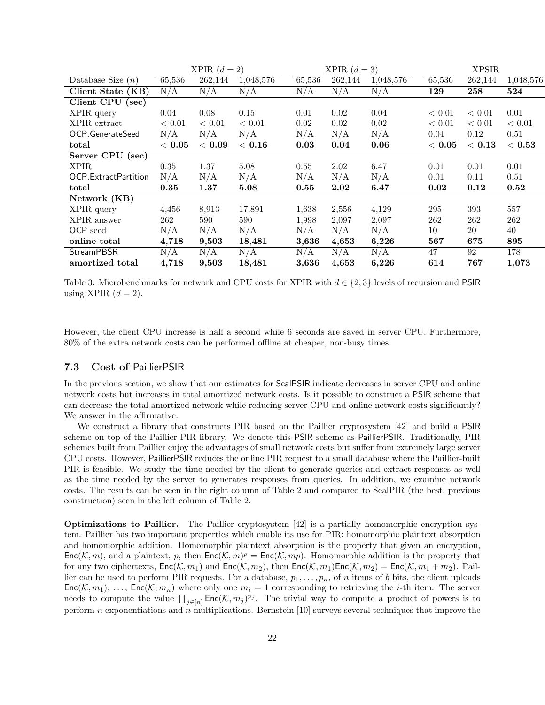|                        |          | $XPIR$ $(d = 2)$ |           |                      | XPIR $(d=3)$     |           |        | <b>XPSIR</b> |           |
|------------------------|----------|------------------|-----------|----------------------|------------------|-----------|--------|--------------|-----------|
| Database Size $(n)$    | 65,536   | 262,144          | 1,048,576 | 65,536               | 262,144          | 1,048,576 | 65,536 | 262,144      | 1,048,576 |
| Client State (KB)      | N/A      | N/A              | N/A       | N/A                  | $\overline{N}/A$ | N/A       | 129    | 258          | 524       |
| Client CPU (sec)       |          |                  |           |                      |                  |           |        |              |           |
| XPIR query             | 0.04     | 0.08             | 0.15      | 0.01                 | 0.02             | 0.04      | < 0.01 | < 0.01       | 0.01      |
| XPIR extract           | < 0.01   | < 0.01           | < 0.01    | 0.02                 | 0.02             | 0.02      | < 0.01 | < 0.01       | < 0.01    |
| OCP.GenerateSeed       | N/A      | N/A              | N/A       | N/A                  | N/A              | N/A       | 0.04   | 0.12         | 0.51      |
| total                  | < 0.05   | < 0.09           | $<\,0.16$ | 0.03                 | 0.04             | 0.06      | < 0.05 | $<\,0.13$    | $<\,0.53$ |
| Server CPU (sec)       |          |                  |           |                      |                  |           |        |              |           |
| XPIR.                  | 0.35     | 1.37             | 5.08      | 0.55                 | 2.02             | 6.47      | 0.01   | 0.01         | 0.01      |
| OCP. Extract Partition | N/A      | N/A              | N/A       | N/A                  | N/A              | N/A       | 0.01   | 0.11         | 0.51      |
| total                  | $0.35\,$ | 1.37             | 5.08      | $0.55\,$             | 2.02             | 6.47      | 0.02   | 0.12         | 0.52      |
| Network (KB)           |          |                  |           |                      |                  |           |        |              |           |
| XPIR query             | 4,456    | 8.913            | 17,891    | 1,638                | 2,556            | 4,129     | 295    | 393          | 557       |
| XPIR answer            | 262      | 590              | 590       | 1,998                | 2,097            | 2,097     | 262    | 262          | 262       |
| OCP seed               | N/A      | N/A              | N/A       | N/A                  | N/A              | N/A       | 10     | 20           | 40        |
| online total           | 4,718    | 9,503            | 18,481    | 3,636                | 4,653            | 6,226     | 567    | 675          | 895       |
| <b>StreamPBSR</b>      | N/A      | N/A              | N/A       | N/A                  | $\overline{N}/A$ | N/A       | 47     | 92           | 178       |
| amortized total        | 4,718    | 9,503            | 18,481    | $\boldsymbol{3.636}$ | 4,653            | 6,226     | 614    | 767          | 1,073     |

Table 3: Microbenchmarks for network and CPU costs for XPIR with  $d \in \{2,3\}$  levels of recursion and PSIR using XPIR  $(d = 2)$ .

However, the client CPU increase is half a second while 6 seconds are saved in server CPU. Furthermore, 80% of the extra network costs can be performed offline at cheaper, non-busy times.

#### 7.3 Cost of PaillierPSIR

In the previous section, we show that our estimates for SealPSIR indicate decreases in server CPU and online network costs but increases in total amortized network costs. Is it possible to construct a PSIR scheme that can decrease the total amortized network while reducing server CPU and online network costs significantly? We answer in the affirmative.

We construct a library that constructs PIR based on the Paillier cryptosystem [42] and build a PSIR scheme on top of the Paillier PIR library. We denote this PSIR scheme as PaillierPSIR. Traditionally, PIR schemes built from Paillier enjoy the advantages of small network costs but suffer from extremely large server CPU costs. However, PaillierPSIR reduces the online PIR request to a small database where the Paillier-built PIR is feasible. We study the time needed by the client to generate queries and extract responses as well as the time needed by the server to generates responses from queries. In addition, we examine network costs. The results can be seen in the right column of Table 2 and compared to SealPIR (the best, previous construction) seen in the left column of Table 2.

Optimizations to Paillier. The Paillier cryptosystem [42] is a partially homomorphic encryption system. Paillier has two important properties which enable its use for PIR: homomorphic plaintext absorption and homomorphic addition. Homomorphic plaintext absorption is the property that given an encryption,  $Enc(K, m)$ , and a plaintext, p, then  $Enc(K, m)^p = Enc(K, mp)$ . Homomorphic addition is the property that for any two ciphertexts,  $Enc(K, m_1)$  and  $Enc(K, m_2)$ , then  $Enc(K, m_1)Enc(K, m_2) = Enc(K, m_1 + m_2)$ . Paillier can be used to perform PIR requests. For a database,  $p_1, \ldots, p_n$ , of n items of b bits, the client uploads  $Enc(K, m_1), \ldots, Enc(K, m_n)$  where only one  $m_i = 1$  corresponding to retrieving the *i*-th item. The server needs to compute the value  $\prod_{j\in[n]} \textsf{Enc}(\mathcal{K}, m_j)^{p_j}$ . The trivial way to compute a product of powers is to perform n exponentiations and n multiplications. Bernstein  $[10]$  surveys several techniques that improve the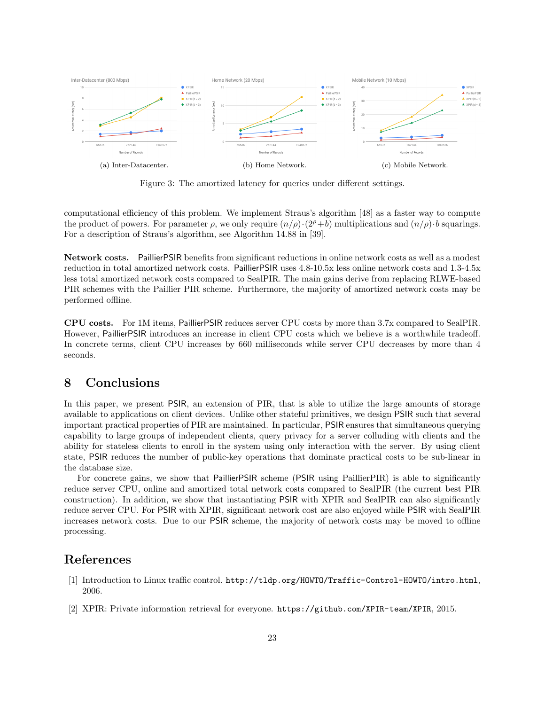

Figure 3: The amortized latency for queries under different settings.

computational efficiency of this problem. We implement Straus's algorithm [48] as a faster way to compute the product of powers. For parameter  $\rho$ , we only require  $(n/\rho) \cdot (2^{\rho}+b)$  multiplications and  $(n/\rho) \cdot b$  squarings. For a description of Straus's algorithm, see Algorithm 14.88 in [39].

Network costs. PaillierPSIR benefits from significant reductions in online network costs as well as a modest reduction in total amortized network costs. PaillierPSIR uses 4.8-10.5x less online network costs and 1.3-4.5x less total amortized network costs compared to SealPIR. The main gains derive from replacing RLWE-based PIR schemes with the Paillier PIR scheme. Furthermore, the majority of amortized network costs may be performed offline.

CPU costs. For 1M items, PaillierPSIR reduces server CPU costs by more than 3.7x compared to SealPIR. However, PaillierPSIR introduces an increase in client CPU costs which we believe is a worthwhile tradeoff. In concrete terms, client CPU increases by 660 milliseconds while server CPU decreases by more than 4 seconds.

## 8 Conclusions

In this paper, we present PSIR, an extension of PIR, that is able to utilize the large amounts of storage available to applications on client devices. Unlike other stateful primitives, we design PSIR such that several important practical properties of PIR are maintained. In particular, PSIR ensures that simultaneous querying capability to large groups of independent clients, query privacy for a server colluding with clients and the ability for stateless clients to enroll in the system using only interaction with the server. By using client state, PSIR reduces the number of public-key operations that dominate practical costs to be sub-linear in the database size.

For concrete gains, we show that PaillierPSIR scheme (PSIR using PaillierPIR) is able to significantly reduce server CPU, online and amortized total network costs compared to SealPIR (the current best PIR construction). In addition, we show that instantiating PSIR with XPIR and SealPIR can also significantly reduce server CPU. For PSIR with XPIR, significant network cost are also enjoyed while PSIR with SealPIR increases network costs. Due to our PSIR scheme, the majority of network costs may be moved to offline processing.

## References

- [1] Introduction to Linux traffic control. http://tldp.org/HOWTO/Traffic-Control-HOWTO/intro.html, 2006.
- [2] XPIR: Private information retrieval for everyone. https://github.com/XPIR-team/XPIR, 2015.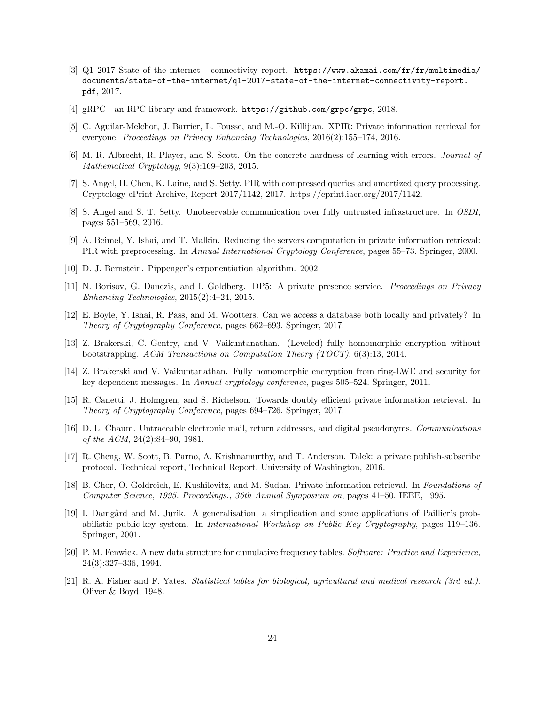- [3] Q1 2017 State of the internet connectivity report. https://www.akamai.com/fr/fr/multimedia/ documents/state-of-the-internet/q1-2017-state-of-the-internet-connectivity-report. pdf, 2017.
- [4] gRPC an RPC library and framework. https://github.com/grpc/grpc, 2018.
- [5] C. Aguilar-Melchor, J. Barrier, L. Fousse, and M.-O. Killijian. XPIR: Private information retrieval for everyone. Proceedings on Privacy Enhancing Technologies, 2016(2):155–174, 2016.
- [6] M. R. Albrecht, R. Player, and S. Scott. On the concrete hardness of learning with errors. Journal of Mathematical Cryptology, 9(3):169–203, 2015.
- [7] S. Angel, H. Chen, K. Laine, and S. Setty. PIR with compressed queries and amortized query processing. Cryptology ePrint Archive, Report 2017/1142, 2017. https://eprint.iacr.org/2017/1142.
- [8] S. Angel and S. T. Setty. Unobservable communication over fully untrusted infrastructure. In OSDI, pages 551–569, 2016.
- [9] A. Beimel, Y. Ishai, and T. Malkin. Reducing the servers computation in private information retrieval: PIR with preprocessing. In Annual International Cryptology Conference, pages 55–73. Springer, 2000.
- [10] D. J. Bernstein. Pippenger's exponentiation algorithm. 2002.
- [11] N. Borisov, G. Danezis, and I. Goldberg. DP5: A private presence service. Proceedings on Privacy Enhancing Technologies, 2015(2):4–24, 2015.
- [12] E. Boyle, Y. Ishai, R. Pass, and M. Wootters. Can we access a database both locally and privately? In Theory of Cryptography Conference, pages 662–693. Springer, 2017.
- [13] Z. Brakerski, C. Gentry, and V. Vaikuntanathan. (Leveled) fully homomorphic encryption without bootstrapping. ACM Transactions on Computation Theory (TOCT), 6(3):13, 2014.
- [14] Z. Brakerski and V. Vaikuntanathan. Fully homomorphic encryption from ring-LWE and security for key dependent messages. In Annual cryptology conference, pages 505–524. Springer, 2011.
- [15] R. Canetti, J. Holmgren, and S. Richelson. Towards doubly efficient private information retrieval. In Theory of Cryptography Conference, pages 694–726. Springer, 2017.
- [16] D. L. Chaum. Untraceable electronic mail, return addresses, and digital pseudonyms. Communications of the ACM, 24(2):84–90, 1981.
- [17] R. Cheng, W. Scott, B. Parno, A. Krishnamurthy, and T. Anderson. Talek: a private publish-subscribe protocol. Technical report, Technical Report. University of Washington, 2016.
- [18] B. Chor, O. Goldreich, E. Kushilevitz, and M. Sudan. Private information retrieval. In Foundations of Computer Science, 1995. Proceedings., 36th Annual Symposium on, pages 41–50. IEEE, 1995.
- [19] I. Damgård and M. Jurik. A generalisation, a simplication and some applications of Paillier's probabilistic public-key system. In International Workshop on Public Key Cryptography, pages 119–136. Springer, 2001.
- [20] P. M. Fenwick. A new data structure for cumulative frequency tables. Software: Practice and Experience, 24(3):327–336, 1994.
- [21] R. A. Fisher and F. Yates. Statistical tables for biological, agricultural and medical research (3rd ed.). Oliver & Boyd, 1948.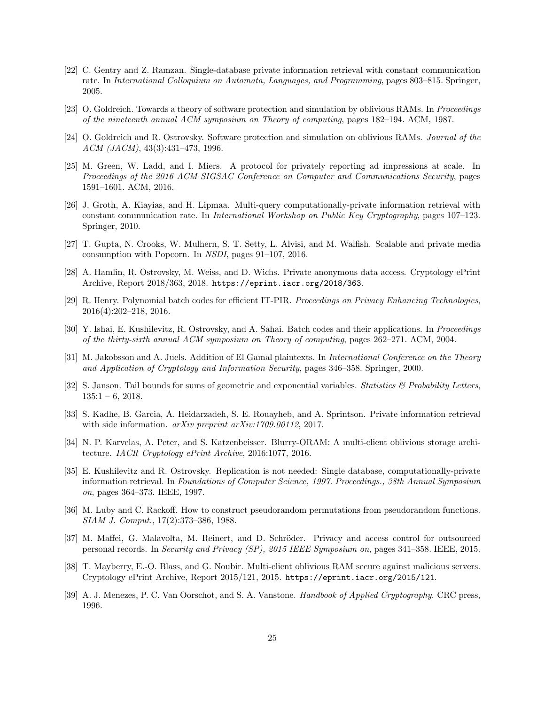- [22] C. Gentry and Z. Ramzan. Single-database private information retrieval with constant communication rate. In International Colloquium on Automata, Languages, and Programming, pages 803–815. Springer, 2005.
- [23] O. Goldreich. Towards a theory of software protection and simulation by oblivious RAMs. In Proceedings of the nineteenth annual ACM symposium on Theory of computing, pages 182–194. ACM, 1987.
- [24] O. Goldreich and R. Ostrovsky. Software protection and simulation on oblivious RAMs. Journal of the ACM (JACM), 43(3):431–473, 1996.
- [25] M. Green, W. Ladd, and I. Miers. A protocol for privately reporting ad impressions at scale. In Proceedings of the 2016 ACM SIGSAC Conference on Computer and Communications Security, pages 1591–1601. ACM, 2016.
- [26] J. Groth, A. Kiayias, and H. Lipmaa. Multi-query computationally-private information retrieval with constant communication rate. In International Workshop on Public Key Cryptography, pages 107–123. Springer, 2010.
- [27] T. Gupta, N. Crooks, W. Mulhern, S. T. Setty, L. Alvisi, and M. Walfish. Scalable and private media consumption with Popcorn. In NSDI, pages 91–107, 2016.
- [28] A. Hamlin, R. Ostrovsky, M. Weiss, and D. Wichs. Private anonymous data access. Cryptology ePrint Archive, Report 2018/363, 2018. https://eprint.iacr.org/2018/363.
- [29] R. Henry. Polynomial batch codes for efficient IT-PIR. Proceedings on Privacy Enhancing Technologies, 2016(4):202–218, 2016.
- [30] Y. Ishai, E. Kushilevitz, R. Ostrovsky, and A. Sahai. Batch codes and their applications. In Proceedings of the thirty-sixth annual ACM symposium on Theory of computing, pages 262–271. ACM, 2004.
- [31] M. Jakobsson and A. Juels. Addition of El Gamal plaintexts. In *International Conference on the Theory* and Application of Cryptology and Information Security, pages 346–358. Springer, 2000.
- [32] S. Janson. Tail bounds for sums of geometric and exponential variables. Statistics & Probability Letters,  $135:1 - 6, 2018.$
- [33] S. Kadhe, B. Garcia, A. Heidarzadeh, S. E. Rouayheb, and A. Sprintson. Private information retrieval with side information.  $arXiv$  preprint  $arXiv:1709.00112$ , 2017.
- [34] N. P. Karvelas, A. Peter, and S. Katzenbeisser. Blurry-ORAM: A multi-client oblivious storage architecture. IACR Cryptology ePrint Archive, 2016:1077, 2016.
- [35] E. Kushilevitz and R. Ostrovsky. Replication is not needed: Single database, computationally-private information retrieval. In Foundations of Computer Science, 1997. Proceedings., 38th Annual Symposium on, pages 364–373. IEEE, 1997.
- [36] M. Luby and C. Rackoff. How to construct pseudorandom permutations from pseudorandom functions. SIAM J. Comput., 17(2):373–386, 1988.
- [37] M. Maffei, G. Malavolta, M. Reinert, and D. Schröder. Privacy and access control for outsourced personal records. In Security and Privacy (SP), 2015 IEEE Symposium on, pages 341–358. IEEE, 2015.
- [38] T. Mayberry, E.-O. Blass, and G. Noubir. Multi-client oblivious RAM secure against malicious servers. Cryptology ePrint Archive, Report 2015/121, 2015. https://eprint.iacr.org/2015/121.
- [39] A. J. Menezes, P. C. Van Oorschot, and S. A. Vanstone. Handbook of Applied Cryptography. CRC press, 1996.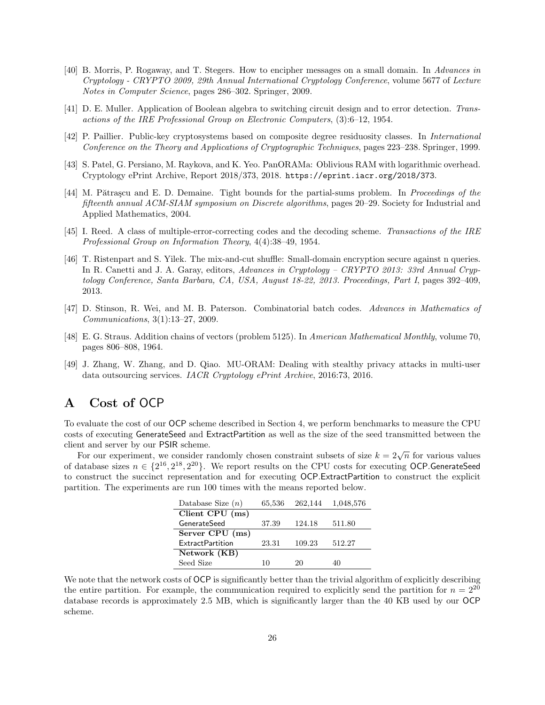- [40] B. Morris, P. Rogaway, and T. Stegers. How to encipher messages on a small domain. In Advances in Cryptology - CRYPTO 2009, 29th Annual International Cryptology Conference, volume 5677 of Lecture Notes in Computer Science, pages 286–302. Springer, 2009.
- [41] D. E. Muller. Application of Boolean algebra to switching circuit design and to error detection. Transactions of the IRE Professional Group on Electronic Computers, (3):6–12, 1954.
- [42] P. Paillier. Public-key cryptosystems based on composite degree residuosity classes. In International Conference on the Theory and Applications of Cryptographic Techniques, pages 223–238. Springer, 1999.
- [43] S. Patel, G. Persiano, M. Raykova, and K. Yeo. PanORAMa: Oblivious RAM with logarithmic overhead. Cryptology ePrint Archive, Report 2018/373, 2018. https://eprint.iacr.org/2018/373.
- [44] M. Pătrașcu and E. D. Demaine. Tight bounds for the partial-sums problem. In Proceedings of the fifteenth annual ACM-SIAM symposium on Discrete algorithms, pages 20–29. Society for Industrial and Applied Mathematics, 2004.
- [45] I. Reed. A class of multiple-error-correcting codes and the decoding scheme. Transactions of the IRE Professional Group on Information Theory, 4(4):38–49, 1954.
- [46] T. Ristenpart and S. Yilek. The mix-and-cut shuffle: Small-domain encryption secure against n queries. In R. Canetti and J. A. Garay, editors, Advances in Cryptology – CRYPTO 2013: 33rd Annual Cryptology Conference, Santa Barbara, CA, USA, August 18-22, 2013. Proceedings, Part I, pages 392–409, 2013.
- [47] D. Stinson, R. Wei, and M. B. Paterson. Combinatorial batch codes. Advances in Mathematics of Communications, 3(1):13–27, 2009.
- [48] E. G. Straus. Addition chains of vectors (problem 5125). In American Mathematical Monthly, volume 70, pages 806–808, 1964.
- [49] J. Zhang, W. Zhang, and D. Qiao. MU-ORAM: Dealing with stealthy privacy attacks in multi-user data outsourcing services. IACR Cryptology ePrint Archive, 2016:73, 2016.

## A Cost of OCP

To evaluate the cost of our OCP scheme described in Section 4, we perform benchmarks to measure the CPU costs of executing GenerateSeed and ExtractPartition as well as the size of the seed transmitted between the client and server by our PSIR scheme.

In and server by our FSIK scheme.<br>For our experiment, we consider randomly chosen constraint subsets of size  $k = 2\sqrt{n}$  for various values of database sizes  $n \in \{2^{16}, 2^{18}, 2^{20}\}$ . We report results on the CPU costs for executing OCP. Generate Seed to construct the succinct representation and for executing OCP.ExtractPartition to construct the explicit partition. The experiments are run 100 times with the means reported below.

| Database Size $(n)$     | 65,536 | 262,144 | 1,048,576 |
|-------------------------|--------|---------|-----------|
| Client CPU (ms)         |        |         |           |
| GenerateSeed            | 37.39  | 124.18  | 511.80    |
| Server CPU (ms)         |        |         |           |
| <b>ExtractPartition</b> | 23.31  | 109.23  | 512.27    |
| Network (KB)            |        |         |           |
| Seed Size               | 10     | 20      | 40        |

We note that the network costs of **OCP** is significantly better than the trivial algorithm of explicitly describing the entire partition. For example, the communication required to explicitly send the partition for  $n = 2^{20}$ database records is approximately 2.5 MB, which is significantly larger than the 40 KB used by our OCP scheme.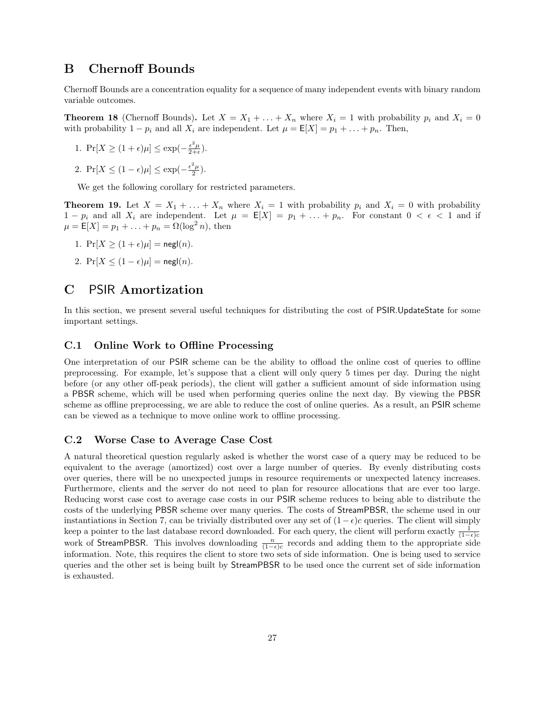## B Chernoff Bounds

Chernoff Bounds are a concentration equality for a sequence of many independent events with binary random variable outcomes.

**Theorem 18** (Chernoff Bounds). Let  $X = X_1 + \ldots + X_n$  where  $X_i = 1$  with probability  $p_i$  and  $X_i = 0$ with probability  $1 - p_i$  and all  $X_i$  are independent. Let  $\mu = \mathsf{E}[X] = p_1 + \ldots + p_n$ . Then,

1. 
$$
Pr[X \ge (1 + \epsilon)\mu] \le \exp(-\frac{\epsilon^2 \mu}{2 + \epsilon}).
$$

2. 
$$
\Pr[X \le (1 - \epsilon)\mu] \le \exp(-\frac{\epsilon^2 \mu}{2}).
$$

We get the following corollary for restricted parameters.

**Theorem 19.** Let  $X = X_1 + ... + X_n$  where  $X_i = 1$  with probability  $p_i$  and  $X_i = 0$  with probability 1 −  $p_i$  and all  $X_i$  are independent. Let  $\mu = \mathsf{E}[X] = p_1 + \ldots + p_n$ . For constant  $0 < \epsilon < 1$  and if  $\mu = \mathsf{E}[X] = p_1 + \ldots + p_n = \Omega(\log^2 n)$ , then

- 1.  $Pr[X \ge (1 + \epsilon)\mu] = negl(n)$ .
- 2.  $Pr[X \leq (1 \epsilon)\mu] = neg(n)$ .

## C PSIR Amortization

In this section, we present several useful techniques for distributing the cost of PSIR.UpdateState for some important settings.

#### C.1 Online Work to Offline Processing

One interpretation of our PSIR scheme can be the ability to offload the online cost of queries to offline preprocessing. For example, let's suppose that a client will only query 5 times per day. During the night before (or any other off-peak periods), the client will gather a sufficient amount of side information using a PBSR scheme, which will be used when performing queries online the next day. By viewing the PBSR scheme as offline preprocessing, we are able to reduce the cost of online queries. As a result, an PSIR scheme can be viewed as a technique to move online work to offline processing.

#### C.2 Worse Case to Average Case Cost

A natural theoretical question regularly asked is whether the worst case of a query may be reduced to be equivalent to the average (amortized) cost over a large number of queries. By evenly distributing costs over queries, there will be no unexpected jumps in resource requirements or unexpected latency increases. Furthermore, clients and the server do not need to plan for resource allocations that are ever too large. Reducing worst case cost to average case costs in our PSIR scheme reduces to being able to distribute the costs of the underlying PBSR scheme over many queries. The costs of StreamPBSR, the scheme used in our instantiations in Section 7, can be trivially distributed over any set of  $(1 - \epsilon)c$  queries. The client will simply keep a pointer to the last database record downloaded. For each query, the client will perform exactly  $\frac{1}{(1-\epsilon)c}$ work of StreamPBSR. This involves downloading  $\frac{n}{(1-\epsilon)c}$  records and adding them to the appropriate side information. Note, this requires the client to store two sets of side information. One is being used to service queries and the other set is being built by StreamPBSR to be used once the current set of side information is exhausted.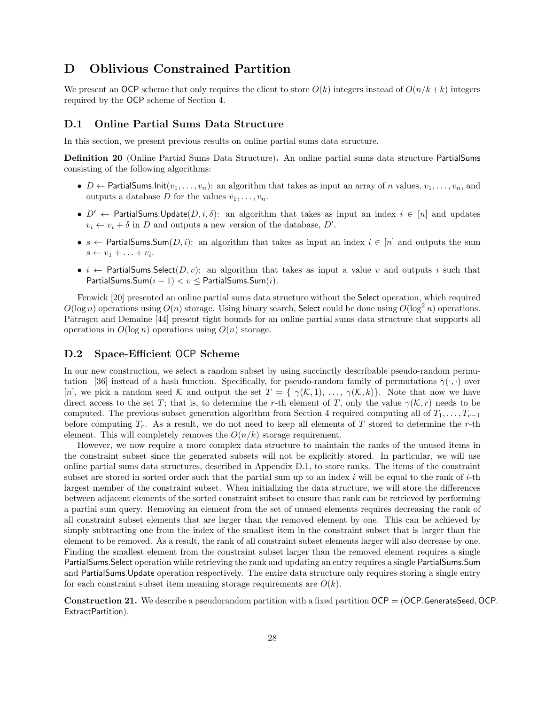## D Oblivious Constrained Partition

We present an OCP scheme that only requires the client to store  $O(k)$  integers instead of  $O(n/k + k)$  integers required by the OCP scheme of Section 4.

#### D.1 Online Partial Sums Data Structure

In this section, we present previous results on online partial sums data structure.

Definition 20 (Online Partial Sums Data Structure). An online partial sums data structure PartialSums consisting of the following algorithms:

- D  $\leftarrow$  PartialSums.lnit $(v_1, \ldots, v_n)$ : an algorithm that takes as input an array of n values,  $v_1, \ldots, v_n$ , and outputs a database D for the values  $v_1, \ldots, v_n$ .
- $D' \leftarrow$  PartialSums.Update $(D, i, \delta)$ : an algorithm that takes as input an index  $i \in [n]$  and updates  $v_i \leftarrow v_i + \delta$  in D and outputs a new version of the database, D'.
- $s \leftarrow$  PartialSums.Sum $(D, i)$ : an algorithm that takes as input an index  $i \in [n]$  and outputs the sum  $s \leftarrow v_1 + \ldots + v_i.$
- $i \leftarrow$  PartialSums. Select $(D, v)$ : an algorithm that takes as input a value v and outputs i such that PartialSums.Sum $(i - 1) < v <$  PartialSums.Sum $(i)$ .

Fenwick [20] presented an online partial sums data structure without the Select operation, which required  $O(\log n)$  operations using  $O(n)$  storage. Using binary search, Select could be done using  $O(\log^2 n)$  operations. Pătrașcu and Demaine [44] present tight bounds for an online partial sums data structure that supports all operations in  $O(\log n)$  operations using  $O(n)$  storage.

#### D.2 Space-Efficient OCP Scheme

In our new construction, we select a random subset by using succinctly describable pseudo-random permutation [36] instead of a hash function. Specifically, for pseudo-random family of permutations  $\gamma(\cdot, \cdot)$  over [n], we pick a random seed K and output the set  $T = \{ \gamma(K,1), \ldots, \gamma(K,k) \}.$  Note that now we have direct access to the set T; that is, to determine the r-th element of T, only the value  $\gamma(\mathcal{K}, r)$  needs to be computed. The previous subset generation algorithm from Section 4 required computing all of  $T_1, \ldots, T_{r-1}$ before computing  $T_r$ . As a result, we do not need to keep all elements of T stored to determine the r-th element. This will completely removes the  $O(n/k)$  storage requirement.

However, we now require a more complex data structure to maintain the ranks of the unused items in the constraint subset since the generated subsets will not be explicitly stored. In particular, we will use online partial sums data structures, described in Appendix D.1, to store ranks. The items of the constraint subset are stored in sorted order such that the partial sum up to an index  $i$  will be equal to the rank of  $i$ -th largest member of the constraint subset. When initializing the data structure, we will store the differences between adjacent elements of the sorted constraint subset to ensure that rank can be retrieved by performing a partial sum query. Removing an element from the set of unused elements requires decreasing the rank of all constraint subset elements that are larger than the removed element by one. This can be achieved by simply subtracting one from the index of the smallest item in the constraint subset that is larger than the element to be removed. As a result, the rank of all constraint subset elements larger will also decrease by one. Finding the smallest element from the constraint subset larger than the removed element requires a single PartialSums.Select operation while retrieving the rank and updating an entry requires a single PartialSums.Sum and PartialSums.Update operation respectively. The entire data structure only requires storing a single entry for each constraint subset item meaning storage requirements are  $O(k)$ .

**Construction 21.** We describe a pseudorandom partition with a fixed partition  $OCP = (OCP$ . GenerateSeed,  $OCP$ . ExtractPartition).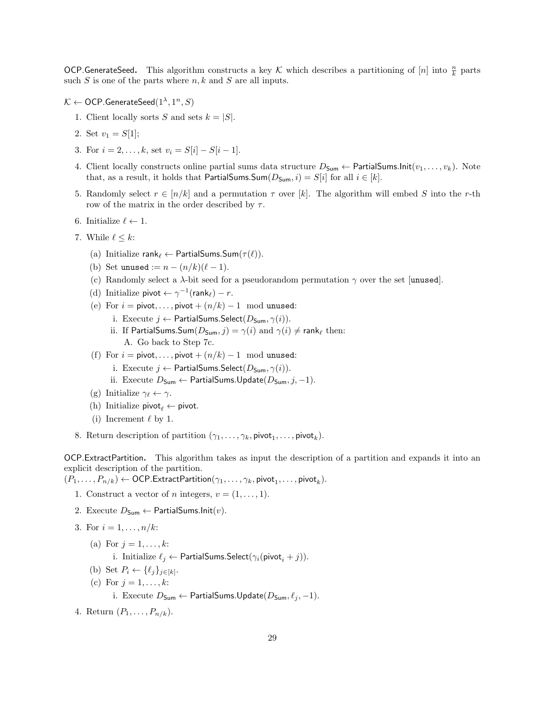OCP.GenerateSeed. This algorithm constructs a key  $K$  which describes a partitioning of  $[n]$  into  $\frac{n}{k}$  parts such  $S$  is one of the parts where  $n, k$  and  $S$  are all inputs.

- $\mathcal{K} \leftarrow$  OCP.GenerateSeed $(1^{\lambda}, 1^n, S)$ 
	- 1. Client locally sorts S and sets  $k = |S|$ .
	- 2. Set  $v_1 = S[1]$ ;
	- 3. For  $i = 2, ..., k$ , set  $v_i = S[i] S[i-1]$ .
	- 4. Client locally constructs online partial sums data structure  $D_{\text{Sum}} \leftarrow$  PartialSums.Init $(v_1, \ldots, v_k)$ . Note that, as a result, it holds that PartialSums.Sum $(D_{\text{Sum}}, i) = S[i]$  for all  $i \in [k]$ .
	- 5. Randomly select  $r \in [n/k]$  and a permutation  $\tau$  over [k]. The algorithm will embed S into the r-th row of the matrix in the order described by  $\tau$ .
	- 6. Initialize  $\ell \leftarrow 1$ .
	- 7. While  $\ell \leq k$ :
		- (a) Initialize rank $_{\ell} \leftarrow$  PartialSums.Sum( $\tau(\ell)$ ).
		- (b) Set unused :=  $n (n/k)(\ell 1)$ .
		- (c) Randomly select a  $\lambda$ -bit seed for a pseudorandom permutation  $\gamma$  over the set [unused].
		- (d) Initialize pivot  $\leftarrow \gamma^{-1}(\text{rank}_{\ell}) r$ .
		- (e) For  $i = \text{pivot}, \ldots, \text{pivot} + (n/k) 1 \mod \text{ unused}:$ 
			- i. Execute  $j \leftarrow$  PartialSums.Select( $D_{\text{Sum}}, \gamma(i)$ ).
			- ii. If PartialSums.Sum $(D_{\text{Sum}}, j) = \gamma(i)$  and  $\gamma(i) \neq \text{rank}_{\ell}$  then: A. Go back to Step 7c.
		- (f) For  $i = \text{pivot}, \ldots, \text{pivot} + (n/k) 1 \mod \text{unused}$ :
			- i. Execute  $j \leftarrow$  PartialSums. Select( $D_{\text{Sum}}, \gamma(i)$ ).
			- ii. Execute  $D_{\text{Sum}}$  ← PartialSums.Update( $D_{\text{Sum}}$ , j, -1).
		- (g) Initialize  $\gamma_{\ell} \leftarrow \gamma$ .
		- (h) Initialize pivot<sub> $\ell$ </sub> ← pivot.
		- (i) Increment  $\ell$  by 1.
	- 8. Return description of partition  $(\gamma_1, \ldots, \gamma_k, \text{pivot}_1, \ldots, \text{pivot}_k)$ .

OCP.ExtractPartition. This algorithm takes as input the description of a partition and expands it into an explicit description of the partition.

 $(P_1, \ldots, P_{n/k}) \leftarrow \mathsf{OCP}.\mathsf{ExtractPartition}(\gamma_1, \ldots, \gamma_k, \mathsf{pivot}_1, \ldots, \mathsf{pivot}_k).$ 

- 1. Construct a vector of *n* integers,  $v = (1, \ldots, 1)$ .
- 2. Execute  $D_{Sum} \leftarrow$  PartialSums.lnit(v).
- 3. For  $i = 1, ..., n/k$ :
	- (a) For  $j = 1, \ldots, k$ : i. Initialize  $\ell_j \leftarrow$  PartialSums.Select( $\gamma_i(\text{pivot}_i + j)$ ).
	- (b) Set  $P_i \leftarrow {\ell_j}_{j \in [k]}.$
	- (c) For  $j = 1, ..., k$ :
		- i. Execute  $D_{\text{Sum}} \leftarrow$  PartialSums.Update( $D_{\text{Sum}}, \ell_j, -1$ ).
- 4. Return  $(P_1, ..., P_{n/k})$ .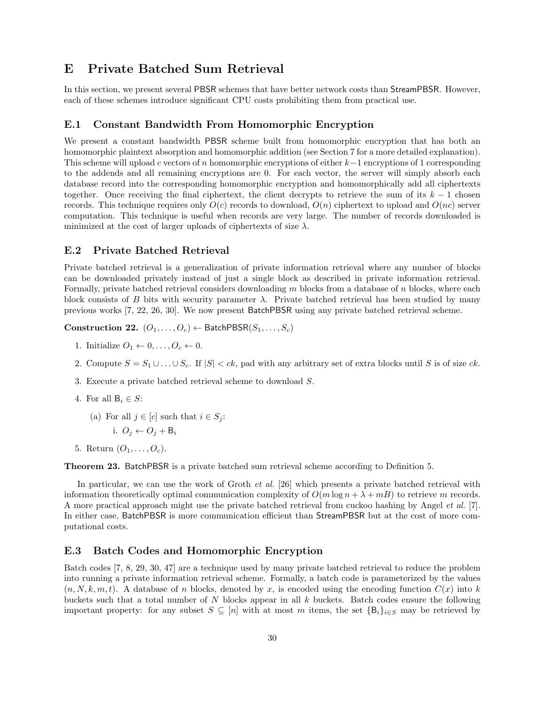## E Private Batched Sum Retrieval

In this section, we present several PBSR schemes that have better network costs than StreamPBSR. However, each of these schemes introduce significant CPU costs prohibiting them from practical use.

#### E.1 Constant Bandwidth From Homomorphic Encryption

We present a constant bandwidth PBSR scheme built from homomorphic encryption that has both an homomorphic plaintext absorption and homomorphic addition (see Section 7 for a more detailed explanation). This scheme will upload c vectors of n homomorphic encryptions of either  $k-1$  encryptions of 1 corresponding to the addends and all remaining encryptions are 0. For each vector, the server will simply absorb each database record into the corresponding homomorphic encryption and homomorphically add all ciphertexts together. Once receiving the final ciphertext, the client decrypts to retrieve the sum of its  $k - 1$  chosen records. This technique requires only  $O(c)$  records to download,  $O(n)$  ciphertext to upload and  $O(nc)$  server computation. This technique is useful when records are very large. The number of records downloaded is minimized at the cost of larger uploads of ciphertexts of size  $\lambda$ .

#### E.2 Private Batched Retrieval

Private batched retrieval is a generalization of private information retrieval where any number of blocks can be downloaded privately instead of just a single block as described in private information retrieval. Formally, private batched retrieval considers downloading m blocks from a database of n blocks, where each block consists of B bits with security parameter  $\lambda$ . Private batched retrieval has been studied by many previous works [7, 22, 26, 30]. We now present BatchPBSR using any private batched retrieval scheme.

Construction 22.  $(O_1, \ldots, O_c) \leftarrow$  BatchPBSR $(S_1, \ldots, S_c)$ 

- 1. Initialize  $O_1 \leftarrow 0, \ldots, O_c \leftarrow 0$ .
- 2. Compute  $S = S_1 \cup \ldots \cup S_c$ . If  $|S| < ck$ , pad with any arbitrary set of extra blocks until S is of size ck.
- 3. Execute a private batched retrieval scheme to download S.
- 4. For all  $B_i \in S$ :
	- (a) For all  $j \in [c]$  such that  $i \in S_i$ :
		- i.  $O_i \leftarrow O_i + B_i$
- 5. Return  $(O_1, \ldots, O_c)$ .

Theorem 23. BatchPBSR is a private batched sum retrieval scheme according to Definition 5.

In particular, we can use the work of Groth *et al.* [26] which presents a private batched retrieval with information theoretically optimal communication complexity of  $O(m \log n + \lambda + mB)$  to retrieve m records. A more practical approach might use the private batched retrieval from cuckoo hashing by Angel et al. [7]. In either case, BatchPBSR is more communication efficient than StreamPBSR but at the cost of more computational costs.

#### E.3 Batch Codes and Homomorphic Encryption

Batch codes [7, 8, 29, 30, 47] are a technique used by many private batched retrieval to reduce the problem into running a private information retrieval scheme. Formally, a batch code is parameterized by the values  $(n, N, k, m, t)$ . A database of n blocks, denoted by x, is encoded using the encoding function  $C(x)$  into k buckets such that a total number of  $N$  blocks appear in all  $k$  buckets. Batch codes ensure the following important property: for any subset  $S \subseteq [n]$  with at most m items, the set  $\{B_i\}_{i\in S}$  may be retrieved by